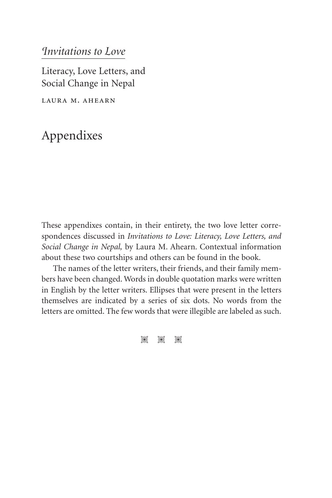## *Invitations to Love*

Literacy, Love Letters, and Social Change in Nepal

laura m. ahearn

Appendixes

These appendixes contain, in their entirety, the two love letter correspondences discussed in *Invitations to Love: Literacy, Love Letters, and Social Change in Nepal,* by Laura M. Ahearn. Contextual information about these two courtships and others can be found in the book.

The names of the letter writers, their friends, and their family members have been changed. Words in double quotation marks were written in English by the letter writers. Ellipses that were present in the letters themselves are indicated by a series of six dots. No words from the letters are omitted. The few words that were illegible are labeled as such.

 $\mathscr{H}$   $\mathscr{H}$   $\mathscr{H}$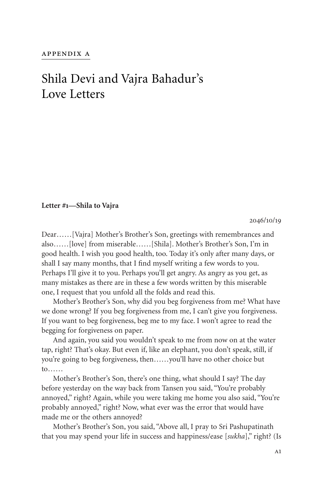# Shila Devi and Vajra Bahadur's Love Letters

**Letter #1—Shila to Vajra**

2046/10/19

Dear……[Vajra] Mother's Brother's Son, greetings with remembrances and also……[love] from miserable……[Shila]. Mother's Brother's Son, I'm in good health. I wish you good health, too. Today it's only after many days, or shall I say many months, that I find myself writing a few words to you. Perhaps I'll give it to you. Perhaps you'll get angry. As angry as you get, as many mistakes as there are in these a few words written by this miserable one, I request that you unfold all the folds and read this.

Mother's Brother's Son, why did you beg forgiveness from me? What have we done wrong? If you beg forgiveness from me, I can't give you forgiveness. If you want to beg forgiveness, beg me to my face. I won't agree to read the begging for forgiveness on paper.

And again, you said you wouldn't speak to me from now on at the water tap, right? That's okay. But even if, like an elephant, you don't speak, still, if you're going to beg forgiveness, then……you'll have no other choice but to……

Mother's Brother's Son, there's one thing, what should I say? The day before yesterday on the way back from Tansen you said, "You're probably annoyed," right? Again, while you were taking me home you also said, "You're probably annoyed," right? Now, what ever was the error that would have made me or the others annoyed?

Mother's Brother's Son, you said, "Above all, I pray to Sri Pashupatinath that you may spend your life in success and happiness/ease [*sukha*]," right? (Is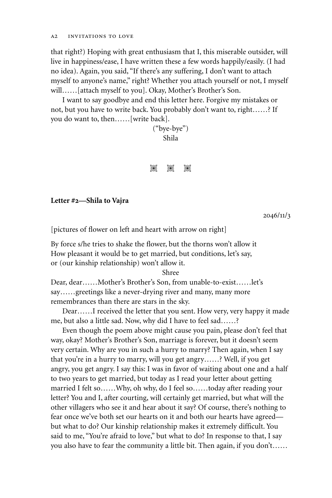that right?) Hoping with great enthusiasm that I, this miserable outsider, will live in happiness/ease, I have written these a few words happily/easily. (I had no idea). Again, you said, "If there's any suffering, I don't want to attach myself to anyone's name," right? Whether you attach yourself or not, I myself will……[attach myself to you]. Okay, Mother's Brother's Son.

I want to say goodbye and end this letter here. Forgive my mistakes or not, but you have to write back. You probably don't want to, right……? If you do want to, then……[write back].

> ("bye-bye") Shila

VII VII VII

**Letter #2—Shila to Vajra**

2046/11/3

[pictures of flower on left and heart with arrow on right]

By force s/he tries to shake the flower, but the thorns won't allow it How pleasant it would be to get married, but conditions, let's say, or (our kinship relationship) won't allow it.

Shree

Dear, dear……Mother's Brother's Son, from unable-to-exist……let's say……greetings like a never-drying river and many, many more remembrances than there are stars in the sky.

Dear……I received the letter that you sent. How very, very happy it made me, but also a little sad. Now, why did I have to feel sad……?

Even though the poem above might cause you pain, please don't feel that way, okay? Mother's Brother's Son, marriage is forever, but it doesn't seem very certain. Why are you in such a hurry to marry? Then again, when I say that you're in a hurry to marry, will you get angry……? Well, if you get angry, you get angry. I say this: I was in favor of waiting about one and a half to two years to get married, but today as I read your letter about getting married I felt so……Why, oh why, do I feel so……today after reading your letter? You and I, after courting, will certainly get married, but what will the other villagers who see it and hear about it say? Of course, there's nothing to fear once we've both set our hearts on it and both our hearts have agreed but what to do? Our kinship relationship makes it extremely difficult. You said to me, "You're afraid to love," but what to do? In response to that, I say you also have to fear the community a little bit. Then again, if you don't……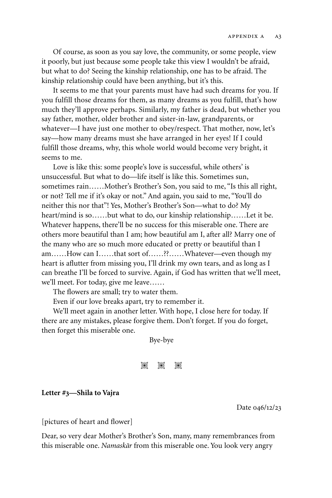Of course, as soon as you say love, the community, or some people, view it poorly, but just because some people take this view I wouldn't be afraid, but what to do? Seeing the kinship relationship, one has to be afraid. The kinship relationship could have been anything, but it's this.

It seems to me that your parents must have had such dreams for you. If you fulfill those dreams for them, as many dreams as you fulfill, that's how much they'll approve perhaps. Similarly, my father is dead, but whether you say father, mother, older brother and sister-in-law, grandparents, or whatever—I have just one mother to obey/respect. That mother, now, let's say—how many dreams must she have arranged in her eyes! If I could fulfill those dreams, why, this whole world would become very bright, it seems to me.

Love is like this: some people's love is successful, while others' is unsuccessful. But what to do—life itself is like this. Sometimes sun, sometimes rain……Mother's Brother's Son, you said to me, "Is this all right, or not? Tell me if it's okay or not." And again, you said to me, "You'll do neither this nor that"! Yes, Mother's Brother's Son—what to do? My heart/mind is so……but what to do, our kinship relationship……Let it be. Whatever happens, there'll be no success for this miserable one. There are others more beautiful than I am; how beautiful am I, after all? Marry one of the many who are so much more educated or pretty or beautiful than I am……How can I……that sort of……??……Whatever—even though my heart is aflutter from missing you, I'll drink my own tears, and as long as I can breathe I'll be forced to survive. Again, if God has written that we'll meet, we'll meet. For today, give me leave……

The flowers are small; try to water them.

Even if our love breaks apart, try to remember it.

We'll meet again in another letter. With hope, I close here for today. If there are any mistakes, please forgive them. Don't forget. If you do forget, then forget this miserable one.

Bye-bye

$$
\mathbb{R} \quad \mathbb{R} \quad \mathbb{R}
$$

**Letter #3—Shila to Vajra**

Date 046/12/23

[pictures of heart and flower]

Dear, so very dear Mother's Brother's Son, many, many remembrances from this miserable one. *Namaskār* from this miserable one. You look very angry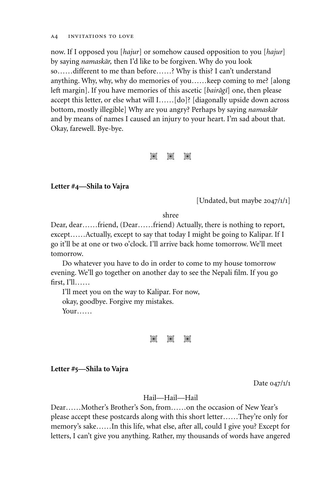now. If I opposed you [*hajur*] or somehow caused opposition to you [*hajur*] by saying *namaskār*, then I'd like to be forgiven. Why do you look so……different to me than before……? Why is this? I can't understand anything. Why, why, why do memories of you……keep coming to me? [along left margin]. If you have memories of this ascetic [*bairãgī*] one, then please accept this letter, or else what will I……[do]? [diagonally upside down across bottom, mostly illegible] Why are you angry? Perhaps by saying *namaskar* and by means of names I caused an injury to your heart. I'm sad about that. Okay, farewell. Bye-bye.

## VII VII VII

#### **Letter #4—Shila to Vajra**

[Undated, but maybe 2047/1/1]

#### shree

Dear, dear……friend, (Dear……friend) Actually, there is nothing to report, except……Actually, except to say that today I might be going to Kalipar. If I go it'll be at one or two o'clock. I'll arrive back home tomorrow. We'll meet tomorrow.

Do whatever you have to do in order to come to my house tomorrow evening. We'll go together on another day to see the Nepali film. If you go first, I'll……

I'll meet you on the way to Kalipar. For now, okay, goodbye. Forgive my mistakes. Your……

VM VM VM

#### **Letter #5—Shila to Vajra**

Date 047/1/1

## Hail—Hail—Hail

Dear……Mother's Brother's Son, from……on the occasion of New Year's please accept these postcards along with this short letter……They're only for memory's sake……In this life, what else, after all, could I give you? Except for letters, I can't give you anything. Rather, my thousands of words have angered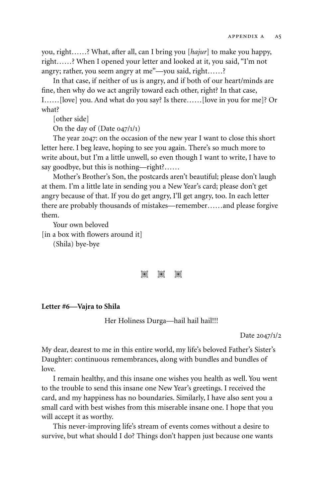you, right……? What, after all, can I bring you [*hajur*] to make you happy, right……? When I opened your letter and looked at it, you said, "I'm not angry; rather, you seem angry at me"—you said, right……?

In that case, if neither of us is angry, and if both of our heart/minds are fine, then why do we act angrily toward each other, right? In that case, I……[love] you. And what do you say? Is there……[love in you for me]? Or what?

[other side]

On the day of (Date  $0.47/1/1$ )

The year 2047: on the occasion of the new year I want to close this short letter here. I beg leave, hoping to see you again. There's so much more to write about, but I'm a little unwell, so even though I want to write, I have to say goodbye, but this is nothing—right?……

Mother's Brother's Son, the postcards aren't beautiful; please don't laugh at them. I'm a little late in sending you a New Year's card; please don't get angry because of that. If you do get angry, I'll get angry, too. In each letter there are probably thousands of mistakes—remember……and please forgive them.

Your own beloved [in a box with flowers around it] (Shila) bye-bye

 $\mathcal H\quad\mathcal H\quad\mathcal H$ 

#### **Letter #6—Vajra to Shila**

Her Holiness Durga-hail hail hail!!!

Date 2047/1/2

My dear, dearest to me in this entire world, my life's beloved Father's Sister's Daughter: continuous remembrances, along with bundles and bundles of love.

I remain healthy, and this insane one wishes you health as well. You went to the trouble to send this insane one New Year's greetings. I received the card, and my happiness has no boundaries. Similarly, I have also sent you a small card with best wishes from this miserable insane one. I hope that you will accept it as worthy.

This never-improving life's stream of events comes without a desire to survive, but what should I do? Things don't happen just because one wants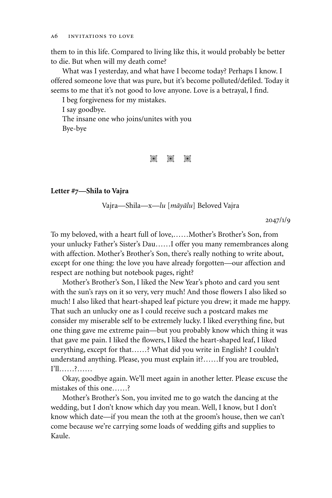them to in this life. Compared to living like this, it would probably be better to die. But when will my death come?

What was I yesterday, and what have I become today? Perhaps I know. I offered someone love that was pure, but it's become polluted/defiled. Today it seems to me that it's not good to love anyone. Love is a betrayal, I find.

I beg forgiveness for my mistakes.

I say goodbye. The insane one who joins/unites with you Bye-bye

 $\mathscr{H}$   $\mathscr{H}$   $\mathscr{H}$ 

## **Letter #7—Shila to Vajra**

Vajra—Shila—x—*lu* [*māyālu*] Beloved Vajra

2047/1/9

To my beloved, with a heart full of love,……Mother's Brother's Son, from your unlucky Father's Sister's Dau……I offer you many remembrances along with affection. Mother's Brother's Son, there's really nothing to write about, except for one thing: the love you have already forgotten—our affection and respect are nothing but notebook pages, right?

Mother's Brother's Son, I liked the New Year's photo and card you sent with the sun's rays on it so very, very much! And those flowers I also liked so much! I also liked that heart-shaped leaf picture you drew; it made me happy. That such an unlucky one as I could receive such a postcard makes me consider my miserable self to be extremely lucky. I liked everything fine, but one thing gave me extreme pain—but you probably know which thing it was that gave me pain. I liked the flowers, I liked the heart-shaped leaf, I liked everything, except for that……? What did you write in English? I couldn't understand anything. Please, you must explain it?……If you are troubled, I'll……?……

Okay, goodbye again. We'll meet again in another letter. Please excuse the mistakes of this one……?

Mother's Brother's Son, you invited me to go watch the dancing at the wedding, but I don't know which day you mean. Well, I know, but I don't know which date—if you mean the 10th at the groom's house, then we can't come because we're carrying some loads of wedding gifts and supplies to Kaule.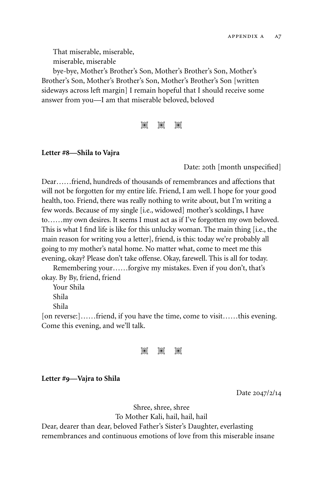That miserable, miserable,

miserable, miserable

bye-bye, Mother's Brother's Son, Mother's Brother's Son, Mother's Brother's Son, Mother's Brother's Son, Mother's Brother's Son [written sideways across left margin] I remain hopeful that I should receive some answer from you—I am that miserable beloved, beloved

 $\mathcal{H} \quad \mathcal{H} \quad \mathcal{H}$ 

## **Letter #8—Shila to Vajra**

Date: 20th [month unspecified]

Dear……friend, hundreds of thousands of remembrances and affections that will not be forgotten for my entire life. Friend, I am well. I hope for your good health, too. Friend, there was really nothing to write about, but I'm writing a few words. Because of my single [i.e., widowed] mother's scoldings, I have to……my own desires. It seems I must act as if I've forgotten my own beloved. This is what I find life is like for this unlucky woman. The main thing [i.e., the main reason for writing you a letter], friend, is this: today we're probably all going to my mother's natal home. No matter what, come to meet me this evening, okay? Please don't take offense. Okay, farewell. This is all for today.

Remembering your……forgive my mistakes. Even if you don't, that's okay. By By, friend, friend

Your Shila Shila Shila

[on reverse:]......friend, if you have the time, come to visit......this evening. Come this evening, and we'll talk.



## **Letter #9—Vajra to Shila**

Date 2047/2/14

Shree, shree, shree To Mother Kali, hail, hail, hail Dear, dearer than dear, beloved Father's Sister's Daughter, everlasting remembrances and continuous emotions of love from this miserable insane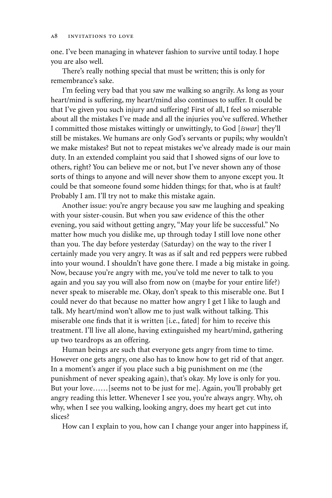one. I've been managing in whatever fashion to survive until today. I hope you are also well.

There's really nothing special that must be written; this is only for remembrance's sake.

I'm feeling very bad that you saw me walking so angrily. As long as your heart/mind is suffering, my heart/mind also continues to suffer. It could be that I've given you such injury and suffering! First of all, I feel so miserable about all the mistakes I've made and all the injuries you've suffered. Whether I committed those mistakes wittingly or unwittingly, to God [*¯ıswar*] they'll still be mistakes. We humans are only God's servants or pupils; why wouldn't we make mistakes? But not to repeat mistakes we've already made is our main duty. In an extended complaint you said that I showed signs of our love to others, right? You can believe me or not, but I've never shown any of those sorts of things to anyone and will never show them to anyone except you. It could be that someone found some hidden things; for that, who is at fault? Probably I am. I'll try not to make this mistake again.

Another issue: you're angry because you saw me laughing and speaking with your sister-cousin. But when you saw evidence of this the other evening, you said without getting angry, "May your life be successful." No matter how much you dislike me, up through today I still love none other than you. The day before yesterday (Saturday) on the way to the river I certainly made you very angry. It was as if salt and red peppers were rubbed into your wound. I shouldn't have gone there. I made a big mistake in going. Now, because you're angry with me, you've told me never to talk to you again and you say you will also from now on (maybe for your entire life?) never speak to miserable me. Okay, don't speak to this miserable one. But I could never do that because no matter how angry I get I like to laugh and talk. My heart/mind won't allow me to just walk without talking. This miserable one finds that it is written [i.e., fated] for him to receive this treatment. I'll live all alone, having extinguished my heart/mind, gathering up two teardrops as an offering.

Human beings are such that everyone gets angry from time to time. However one gets angry, one also has to know how to get rid of that anger. In a moment's anger if you place such a big punishment on me (the punishment of never speaking again), that's okay. My love is only for you. But your love……[seems not to be just for me]. Again, you'll probably get angry reading this letter. Whenever I see you, you're always angry. Why, oh why, when I see you walking, looking angry, does my heart get cut into slices?

How can I explain to you, how can I change your anger into happiness if,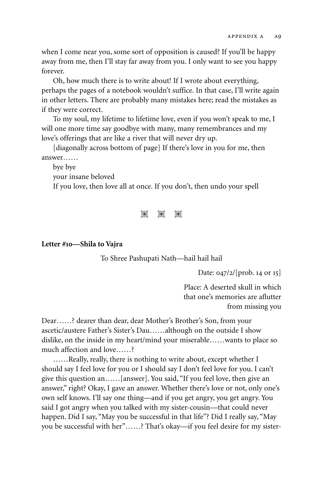when I come near you, some sort of opposition is caused? If you'll be happy away from me, then I'll stay far away from you. I only want to see you happy forever.

Oh, how much there is to write about! If I wrote about everything, perhaps the pages of a notebook wouldn't suffice. In that case, I'll write again in other letters. There are probably many mistakes here; read the mistakes as if they were correct.

To my soul, my lifetime to lifetime love, even if you won't speak to me, I will one more time say goodbye with many, many remembrances and my love's offerings that are like a river that will never dry up.

[diagonally across bottom of page] If there's love in you for me, then answer……

bye bye

your insane beloved

If you love, then love all at once. If you don't, then undo your spell



## **Letter #10—Shila to Vajra**

To Shree Pashupati Nath—hail hail hail

Date: 047/2/[prob. 14 or 15]

Place: A deserted skull in which that one's memories are aflutter from missing you

Dear……? dearer than dear, dear Mother's Brother's Son, from your ascetic/austere Father's Sister's Dau……although on the outside I show dislike, on the inside in my heart/mind your miserable……wants to place so much affection and love……?

……Really, really, there is nothing to write about, except whether I should say I feel love for you or I should say I don't feel love for you. I can't give this question an……[answer]. You said, "If you feel love, then give an answer," right? Okay, I gave an answer. Whether there's love or not, only one's own self knows. I'll say one thing—and if you get angry, you get angry. You said I got angry when you talked with my sister-cousin—that could never happen. Did I say, "May you be successful in that life"? Did I really say, "May you be successful with her"……? That's okay—if you feel desire for my sister-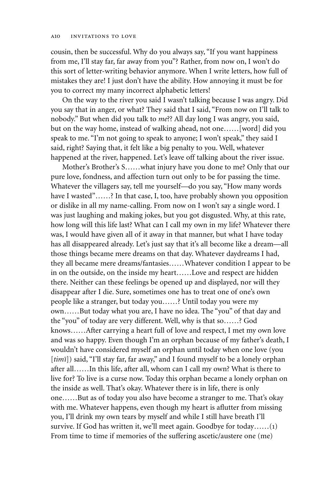cousin, then be successful. Why do you always say, "If you want happiness from me, I'll stay far, far away from you"? Rather, from now on, I won't do this sort of letter-writing behavior anymore. When I write letters, how full of mistakes they are! I just don't have the ability. How annoying it must be for you to correct my many incorrect alphabetic letters!

On the way to the river you said I wasn't talking because I was angry. Did you say that in anger, or what? They said that I said, "From now on I'll talk to nobody." But when did you talk to *me*?? All day long I was angry, you said, but on the way home, instead of walking ahead, not one……[word] did you speak to me. "I'm not going to speak to anyone; I won't speak," they said I said, right? Saying that, it felt like a big penalty to you. Well, whatever happened at the river, happened. Let's leave off talking about the river issue.

Mother's Brother's S……what injury have you done to me? Only that our pure love, fondness, and affection turn out only to be for passing the time. Whatever the villagers say, tell me yourself—do you say, "How many words have I wasted"......? In that case, I, too, have probably shown you opposition or dislike in all my name-calling. From now on I won't say a single word. I was just laughing and making jokes, but you got disgusted. Why, at this rate, how long will this life last? What can I call my own in my life? Whatever there was, I would have given all of it away in that manner, but what I have today has all disappeared already. Let's just say that it's all become like a dream—all those things became mere dreams on that day. Whatever daydreams I had, they all became mere dreams/fantasies……Whatever condition I appear to be in on the outside, on the inside my heart……Love and respect are hidden there. Neither can these feelings be opened up and displayed, nor will they disappear after I die. Sure, sometimes one has to treat one of one's own people like a stranger, but today you……? Until today you were my own……But today what you are, I have no idea. The "you" of that day and the "you" of today are very different. Well, why is that so……? God knows……After carrying a heart full of love and respect, I met my own love and was so happy. Even though I'm an orphan because of my father's death, I wouldn't have considered myself an orphan until today when one love (you [*timī*]) said, "I'll stay far, far away," and I found myself to be a lonely orphan after all……In this life, after all, whom can I call my own? What is there to live for? To live is a curse now. Today this orphan became a lonely orphan on the inside as well. That's okay. Whatever there is in life, there is only one……But as of today you also have become a stranger to me. That's okay with me. Whatever happens, even though my heart is aflutter from missing you, I'll drink my own tears by myself and while I still have breath I'll survive. If God has written it, we'll meet again. Goodbye for today......(1) From time to time if memories of the suffering ascetic/austere one (me)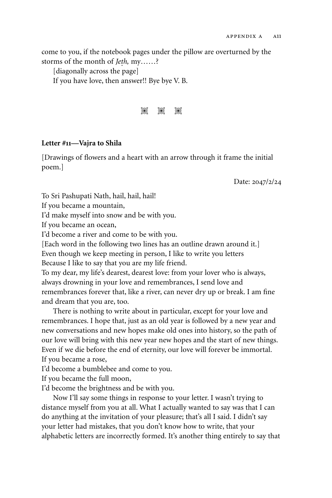come to you, if the notebook pages under the pillow are overturned by the storms of the month of *Jeth*, my......?

[diagonally across the page]

If you have love, then answer!! Bye bye V. B.

 $\mathscr{H}$   $\mathscr{H}$   $\mathscr{H}$ 

## **Letter #11—Vajra to Shila**

[Drawings of flowers and a heart with an arrow through it frame the initial poem.]

Date: 2047/2/24

To Sri Pashupati Nath, hail, hail, hail!

If you became a mountain,

I'd make myself into snow and be with you.

If you became an ocean,

I'd become a river and come to be with you.

[Each word in the following two lines has an outline drawn around it.]

Even though we keep meeting in person, I like to write you letters

Because I like to say that you are my life friend.

To my dear, my life's dearest, dearest love: from your lover who is always, always drowning in your love and remembrances, I send love and remembrances forever that, like a river, can never dry up or break. I am fine and dream that you are, too.

There is nothing to write about in particular, except for your love and remembrances. I hope that, just as an old year is followed by a new year and new conversations and new hopes make old ones into history, so the path of our love will bring with this new year new hopes and the start of new things. Even if we die before the end of eternity, our love will forever be immortal. If you became a rose,

I'd become a bumblebee and come to you.

If you became the full moon,

I'd become the brightness and be with you.

Now I'll say some things in response to your letter. I wasn't trying to distance myself from you at all. What I actually wanted to say was that I can do anything at the invitation of your pleasure; that's all I said. I didn't say your letter had mistakes, that you don't know how to write, that your alphabetic letters are incorrectly formed. It's another thing entirely to say that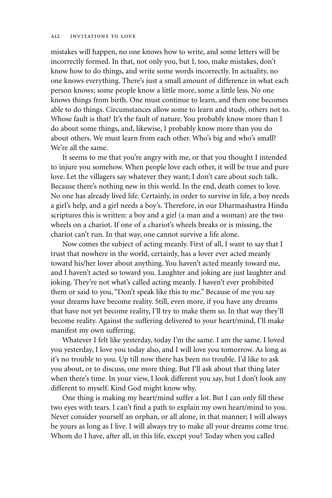mistakes will happen, no one knows how to write, and some letters will be incorrectly formed. In that, not only you, but I, too, make mistakes, don't know how to do things, and write some words incorrectly. In actuality, no one knows everything. There's just a small amount of difference in what each person knows; some people know a little more, some a little less. No one knows things from birth. One must continue to learn, and then one becomes able to do things. Circumstances allow some to learn and study, others not to. Whose fault is that? It's the fault of nature. You probably know more than I do about some things, and, likewise, I probably know more than you do about others. We must learn from each other. Who's big and who's small? We're all the same.

It seems to me that you're angry with me, or that you thought I intended to injure you somehow. When people love each other, it will be true and pure love. Let the villagers say whatever they want; I don't care about such talk. Because there's nothing new in this world. In the end, death comes to love. No one has already lived life. Certainly, in order to survive in life, a boy needs a girl's help, and a girl needs a boy's. Therefore, in our Dharmashastra Hindu scriptures this is written: a boy and a girl (a man and a woman) are the two wheels on a chariot. If one of a chariot's wheels breaks or is missing, the chariot can't run. In that way, one cannot survive a life alone.

Now comes the subject of acting meanly. First of all, I want to say that I trust that nowhere in the world, certainly, has a lover ever acted meanly toward his/her lover about anything. You haven't acted meanly toward me, and I haven't acted so toward you. Laughter and joking are just laughter and joking. They're not what's called acting meanly. I haven't ever prohibited them or said to you, "Don't speak like this to me." Because of me you say your dreams have become reality. Still, even more, if you have any dreams that have not yet become reality, I'll try to make them so. In that way they'll become reality. Against the suffering delivered to your heart/mind, I'll make manifest my own suffering.

Whatever I felt like yesterday, today I'm the same. I am the same. I loved you yesterday, I love you today also, and I will love you tomorrow. As long as it's no trouble to you. Up till now there has been no trouble. I'd like to ask you about, or to discuss, one more thing. But I'll ask about that thing later when there's time. In your view, I look different you say, but I don't look any different to myself. Kind God might know why.

One thing is making my heart/mind suffer a lot. But I can only fill these two eyes with tears. I can't find a path to explain my own heart/mind to you. Never consider yourself an orphan, or all alone, in that manner; I will always be yours as long as I live. I will always try to make all your dreams come true. Whom do I have, after all, in this life, except you? Today when you called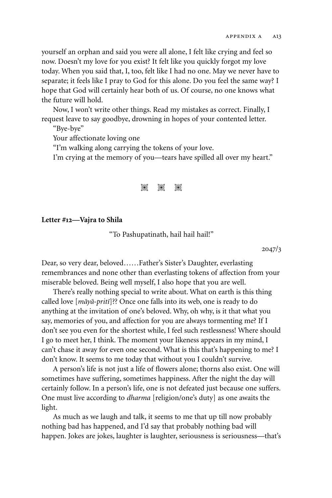yourself an orphan and said you were all alone, I felt like crying and feel so now. Doesn't my love for you exist? It felt like you quickly forgot my love today. When you said that, I, too, felt like I had no one. May we never have to separate; it feels like I pray to God for this alone. Do you feel the same way? I hope that God will certainly hear both of us. Of course, no one knows what the future will hold.

Now, I won't write other things. Read my mistakes as correct. Finally, I request leave to say goodbye, drowning in hopes of your contented letter.

"Bye-bye"

Your affectionate loving one

"I'm walking along carrying the tokens of your love.

I'm crying at the memory of you—tears have spilled all over my heart."



#### **Letter #12—Vajra to Shila**

"To Pashupatinath, hail hail hail!"

2047/3

Dear, so very dear, beloved……Father's Sister's Daughter, everlasting remembrances and none other than everlasting tokens of affection from your miserable beloved. Being well myself, I also hope that you are well.

There's really nothing special to write about. What on earth is this thing called love [ $m\bar{a}y\bar{a}$ -pritī]?? Once one falls into its web, one is ready to do anything at the invitation of one's beloved. Why, oh why, is it that what you say, memories of you, and affection for you are always tormenting me? If I don't see you even for the shortest while, I feel such restlessness! Where should I go to meet her, I think. The moment your likeness appears in my mind, I can't chase it away for even one second. What is this that's happening to me? I don't know. It seems to me today that without you I couldn't survive.

A person's life is not just a life of flowers alone; thorns also exist. One will sometimes have suffering, sometimes happiness. After the night the day will certainly follow. In a person's life, one is not defeated just because one suffers. One must live according to *dharma* [religion/one's duty] as one awaits the light.

As much as we laugh and talk, it seems to me that up till now probably nothing bad has happened, and I'd say that probably nothing bad will happen. Jokes are jokes, laughter is laughter, seriousness is seriousness—that's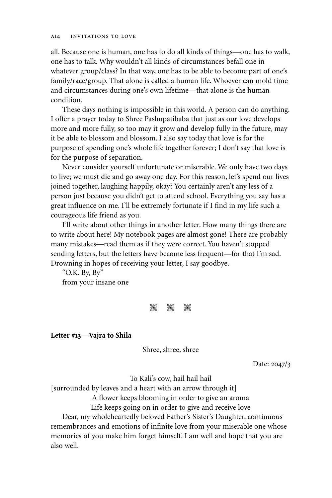all. Because one is human, one has to do all kinds of things—one has to walk, one has to talk. Why wouldn't all kinds of circumstances befall one in whatever group/class? In that way, one has to be able to become part of one's family/race/group. That alone is called a human life. Whoever can mold time and circumstances during one's own lifetime—that alone is the human condition.

These days nothing is impossible in this world. A person can do anything. I offer a prayer today to Shree Pashupatibaba that just as our love develops more and more fully, so too may it grow and develop fully in the future, may it be able to blossom and blossom. I also say today that love is for the purpose of spending one's whole life together forever; I don't say that love is for the purpose of separation.

Never consider yourself unfortunate or miserable. We only have two days to live; we must die and go away one day. For this reason, let's spend our lives joined together, laughing happily, okay? You certainly aren't any less of a person just because you didn't get to attend school. Everything you say has a great influence on me. I'll be extremely fortunate if I find in my life such a courageous life friend as you.

I'll write about other things in another letter. How many things there are to write about here! My notebook pages are almost gone! There are probably many mistakes—read them as if they were correct. You haven't stopped sending letters, but the letters have become less frequent—for that I'm sad. Drowning in hopes of receiving your letter, I say goodbye.

"O.K. By, By" from your insane one

## $\mathscr{H}$   $\mathscr{H}$   $\mathscr{H}$

**Letter #13—Vajra to Shila**

Shree, shree, shree

Date: 2047/3

To Kali's cow, hail hail hail

[surrounded by leaves and a heart with an arrow through it] A flower keeps blooming in order to give an aroma Life keeps going on in order to give and receive love Dear, my wholeheartedly beloved Father's Sister's Daughter, continuous remembrances and emotions of infinite love from your miserable one whose memories of you make him forget himself. I am well and hope that you are also well.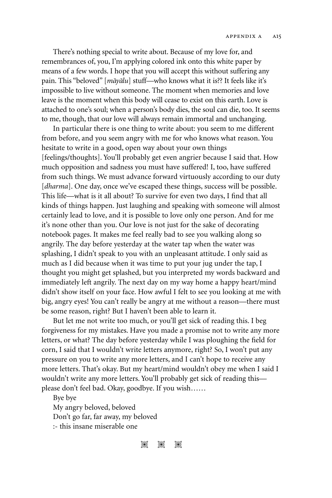There's nothing special to write about. Because of my love for, and remembrances of, you, I'm applying colored ink onto this white paper by means of a few words. I hope that you will accept this without suffering any pain. This "beloved" [*māyālu*] stuff—who knows what it is?? It feels like it's impossible to live without someone. The moment when memories and love leave is the moment when this body will cease to exist on this earth. Love is attached to one's soul; when a person's body dies, the soul can die, too. It seems to me, though, that our love will always remain immortal and unchanging.

In particular there is one thing to write about: you seem to me different from before, and you seem angry with me for who knows what reason. You hesitate to write in a good, open way about your own things [feelings/thoughts]. You'll probably get even angrier because I said that. How much opposition and sadness you must have suffered! I, too, have suffered from such things. We must advance forward virtuously according to our duty [*dharma*]. One day, once we've escaped these things, success will be possible. This life—what is it all about? To survive for even two days, I find that all kinds of things happen. Just laughing and speaking with someone will almost certainly lead to love, and it is possible to love only one person. And for me it's none other than you. Our love is not just for the sake of decorating notebook pages. It makes me feel really bad to see you walking along so angrily. The day before yesterday at the water tap when the water was splashing, I didn't speak to you with an unpleasant attitude. I only said as much as I did because when it was time to put your jug under the tap, I thought you might get splashed, but you interpreted my words backward and immediately left angrily. The next day on my way home a happy heart/mind didn't show itself on your face. How awful I felt to see you looking at me with big, angry eyes! You can't really be angry at me without a reason—there must be some reason, right? But I haven't been able to learn it.

But let me not write too much, or you'll get sick of reading this. I beg forgiveness for my mistakes. Have you made a promise not to write any more letters, or what? The day before yesterday while I was ploughing the field for corn, I said that I wouldn't write letters anymore, right? So, I won't put any pressure on you to write any more letters, and I can't hope to receive any more letters. That's okay. But my heart/mind wouldn't obey me when I said I wouldn't write any more letters. You'll probably get sick of reading this please don't feel bad. Okay, goodbye. If you wish……

Bye bye My angry beloved, beloved Don't go far, far away, my beloved :- this insane miserable one

VII VII VII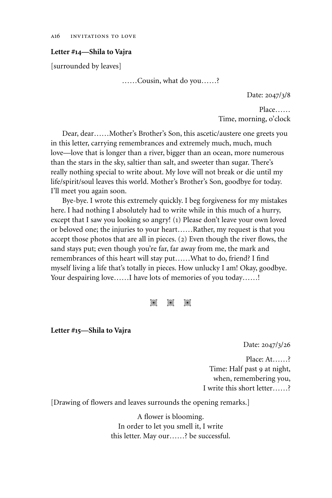## **Letter #14—Shila to Vajra**

[surrounded by leaves]

……Cousin, what do you……?

Date: 2047/3/8

Place…… Time, morning, o'clock

Dear, dear……Mother's Brother's Son, this ascetic/austere one greets you in this letter, carrying remembrances and extremely much, much, much love—love that is longer than a river, bigger than an ocean, more numerous than the stars in the sky, saltier than salt, and sweeter than sugar. There's really nothing special to write about. My love will not break or die until my life/spirit/soul leaves this world. Mother's Brother's Son, goodbye for today. I'll meet you again soon.

Bye-bye. I wrote this extremely quickly. I beg forgiveness for my mistakes here. I had nothing I absolutely had to write while in this much of a hurry, except that I saw you looking so angry! (1) Please don't leave your own loved or beloved one; the injuries to your heart……Rather, my request is that you accept those photos that are all in pieces. (2) Even though the river flows, the sand stays put; even though you're far, far away from me, the mark and remembrances of this heart will stay put……What to do, friend? I find myself living a life that's totally in pieces. How unlucky I am! Okay, goodbye. Your despairing love……I have lots of memories of you today……!

 $\mathscr{H}$   $\mathscr{H}$   $\mathscr{H}$ 

**Letter #15—Shila to Vajra**

Date: 2047/3/26

Place: At……? Time: Half past 9 at night, when, remembering you, I write this short letter……?

[Drawing of flowers and leaves surrounds the opening remarks.]

A flower is blooming. In order to let you smell it, I write this letter. May our……? be successful.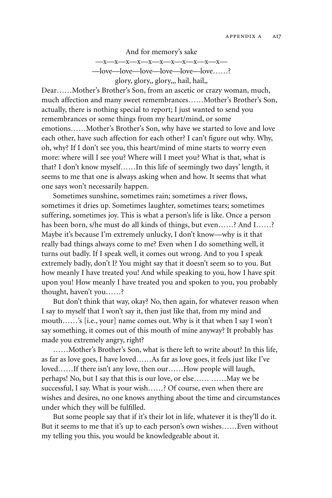And for memory's sake  $-x-x-x-x-x-x-x-x-x-x-x-x$ —love—love—love—love—love—love……? glory, glory,, glory,,, hail, hail,,

Dear……Mother's Brother's Son, from an ascetic or crazy woman, much, much affection and many sweet remembrances……Mother's Brother's Son, actually, there is nothing special to report; I just wanted to send you remembrances or some things from my heart/mind, or some emotions……Mother's Brother's Son, why have we started to love and love each other, have such affection for each other? I can't figure out why. Why, oh, why? If I don't see you, this heart/mind of mine starts to worry even more: where will I see you? Where will I meet you? What is that, what is that? I don't know myself……In this life of seemingly two days' length, it seems to me that one is always asking when and how. It seems that what one says won't necessarily happen.

Sometimes sunshine, sometimes rain; sometimes a river flows, sometimes it dries up. Sometimes laughter, sometimes tears; sometimes suffering, sometimes joy. This is what a person's life is like. Once a person has been born, s/he must do all kinds of things, but even……? And I……? Maybe it's because I'm extremely unlucky, I don't know—why is it that really bad things always come to me? Even when I do something well, it turns out badly. If I speak well, it comes out wrong. And to you I speak extremely badly, don't I? You might say that it doesn't seem so to you. But how meanly I have treated you! And while speaking to you, how I have spit upon you! How meanly I have treated you and spoken to you, you probably thought, haven't you……?

But don't think that way, okay? No, then again, for whatever reason when I say to myself that I won't say it, then just like that, from my mind and mouth……'s [i.e., your] name comes out. Why is it that when I say I won't say something, it comes out of this mouth of mine anyway? It probably has made you extremely angry, right?

……Mother's Brother's Son, what is there left to write about? In this life, as far as love goes, I have loved……As far as love goes, it feels just like I've loved……If there isn't any love, then our……How people will laugh, perhaps! No, but I say that this is our love, or else…… ……May we be successful, I say. What is your wish……? Of course, even when there are wishes and desires, no one knows anything about the time and circumstances under which they will be fulfilled.

But some people say that if it's their lot in life, whatever it is they'll do it. But it seems to me that it's up to each person's own wishes……Even without my telling you this, you would be knowledgeable about it.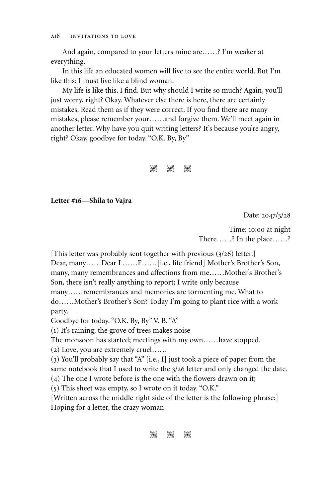And again, compared to your letters mine are……? I'm weaker at everything.

In this life an educated women will live to see the entire world. But I'm like this: I must live like a blind woman.

My life is like this, I find. But why should I write so much? Again, you'll just worry, right? Okay. Whatever else there is here, there are certainly mistakes. Read them as if they were correct. If you find there are many mistakes, please remember your……and forgive them. We'll meet again in another letter. Why have you quit writing letters? It's because you're angry, right? Okay, goodbye for today. "O.K. By, By"

VII VII VII

**Letter #16—Shila to Vajra**

Date: 2047/3/28

Time: 10:00 at night There……? In the place……?

[This letter was probably sent together with previous  $(3/26)$  letter.] Dear, many……Dear L……F……[i.e., life friend] Mother's Brother's Son, many, many remembrances and affections from me……Mother's Brother's Son, there isn't really anything to report; I write only because many……remembrances and memories are tormenting me. What to do……Mother's Brother's Son? Today I'm going to plant rice with a work party.

Goodbye for today. "O.K. By, By" V. B. "A"

(1) It's raining; the grove of trees makes noise

The monsoon has started; meetings with my own……have stopped.

(2) Love, you are extremely cruel……

(3) You'll probably say that "A" [i.e., I] just took a piece of paper from the same notebook that I used to write the 3/26 letter and only changed the date.

(4) The one I wrote before is the one with the flowers drawn on it;

(5) This sheet was empty, so I wrote on it today. "O.K."

[Written across the middle right side of the letter is the following phrase:] Hoping for a letter, the crazy woman

 $\mathscr{H}$   $\mathscr{H}$   $\mathscr{H}$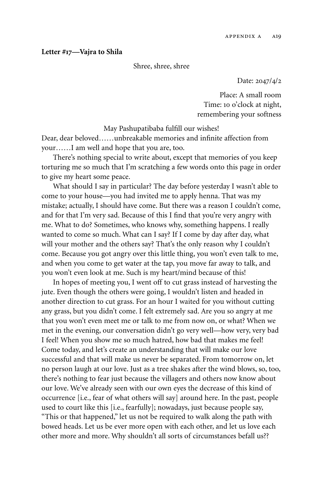#### Shree, shree, shree

Date: 2047/4/2

Place: A small room Time: 10 o'clock at night, remembering your softness

## May Pashupatibaba fulfill our wishes!

Dear, dear beloved……unbreakable memories and infinite affection from your……I am well and hope that you are, too.

There's nothing special to write about, except that memories of you keep torturing me so much that I'm scratching a few words onto this page in order to give my heart some peace.

What should I say in particular? The day before yesterday I wasn't able to come to your house—you had invited me to apply henna. That was my mistake; actually, I should have come. But there was a reason I couldn't come, and for that I'm very sad. Because of this I find that you're very angry with me. What to do? Sometimes, who knows why, something happens. I really wanted to come so much. What can I say? If I come by day after day, what will your mother and the others say? That's the only reason why I couldn't come. Because you got angry over this little thing, you won't even talk to me, and when you come to get water at the tap, you move far away to talk, and you won't even look at me. Such is my heart/mind because of this!

In hopes of meeting you, I went off to cut grass instead of harvesting the jute. Even though the others were going, I wouldn't listen and headed in another direction to cut grass. For an hour I waited for you without cutting any grass, but you didn't come. I felt extremely sad. Are you so angry at me that you won't even meet me or talk to me from now on, or what? When we met in the evening, our conversation didn't go very well—how very, very bad I feel! When you show me so much hatred, how bad that makes me feel! Come today, and let's create an understanding that will make our love successful and that will make us never be separated. From tomorrow on, let no person laugh at our love. Just as a tree shakes after the wind blows, so, too, there's nothing to fear just because the villagers and others now know about our love. We've already seen with our own eyes the decrease of this kind of occurrence [i.e., fear of what others will say] around here. In the past, people used to court like this [i.e., fearfully]; nowadays, just because people say, "This or that happened," let us not be required to walk along the path with bowed heads. Let us be ever more open with each other, and let us love each other more and more. Why shouldn't all sorts of circumstances befall us??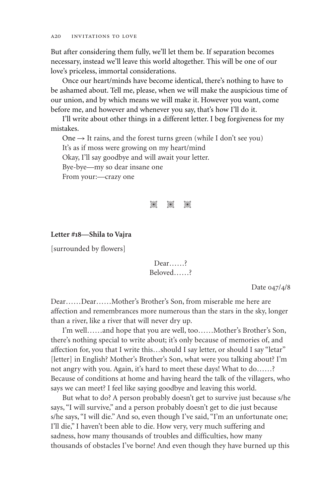But after considering them fully, we'll let them be. If separation becomes necessary, instead we'll leave this world altogether. This will be one of our love's priceless, immortal considerations.

Once our heart/minds have become identical, there's nothing to have to be ashamed about. Tell me, please, when we will make the auspicious time of our union, and by which means we will make it. However you want, come before me, and however and whenever you say, that's how I'll do it.

I'll write about other things in a different letter. I beg forgiveness for my mistakes.

One  $\rightarrow$  It rains, and the forest turns green (while I don't see you) It's as if moss were growing on my heart/mind Okay, I'll say goodbye and will await your letter. Bye-bye—my so dear insane one From your:—crazy one

 $\mathcal{H} \quad \mathcal{H} \quad \mathcal{H}$ 

#### **Letter #18—Shila to Vajra**

[surrounded by flowers]

Dear……? Beloved……?

Date 047/4/8

Dear……Dear……Mother's Brother's Son, from miserable me here are affection and remembrances more numerous than the stars in the sky, longer than a river, like a river that will never dry up.

I'm well……and hope that you are well, too……Mother's Brother's Son, there's nothing special to write about; it's only because of memories of, and affection for, you that I write this…should I say letter, or should I say "letar" [letter] in English? Mother's Brother's Son, what were you talking about? I'm not angry with you. Again, it's hard to meet these days! What to do……? Because of conditions at home and having heard the talk of the villagers, who says we can meet? I feel like saying goodbye and leaving this world.

But what to do? A person probably doesn't get to survive just because s/he says, "I will survive," and a person probably doesn't get to die just because s/he says, "I will die." And so, even though I've said, "I'm an unfortunate one; I'll die," I haven't been able to die. How very, very much suffering and sadness, how many thousands of troubles and difficulties, how many thousands of obstacles I've borne! And even though they have burned up this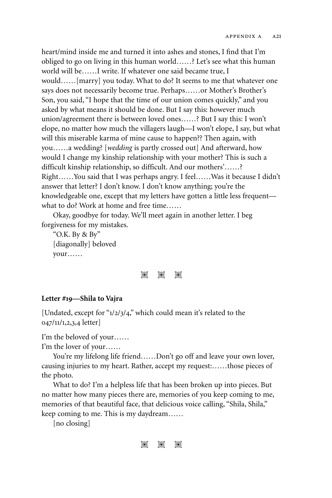heart/mind inside me and turned it into ashes and stones, I find that I'm obliged to go on living in this human world……? Let's see what this human world will be……I write. If whatever one said became true, I would……[marry] you today. What to do? It seems to me that whatever one says does not necessarily become true. Perhaps……or Mother's Brother's Son, you said, "I hope that the time of our union comes quickly," and you asked by what means it should be done. But I say this: however much union/agreement there is between loved ones……? But I say this: I won't elope, no matter how much the villagers laugh—I won't elope, I say, but what will this miserable karma of mine cause to happen?? Then again, with you……a wedding? [*wedding* is partly crossed out] And afterward, how would I change my kinship relationship with your mother? This is such a difficult kinship relationship, so difficult. And our mothers'……? Right……You said that I was perhaps angry. I feel……Was it because I didn't answer that letter? I don't know. I don't know anything; you're the knowledgeable one, except that my letters have gotten a little less frequent what to do? Work at home and free time……

Okay, goodbye for today. We'll meet again in another letter. I beg forgiveness for my mistakes.

"O.K. By & By" [diagonally] beloved your……

#### $\mathscr{H}$   $\mathscr{H}$   $\mathscr{H}$

#### **Letter #19—Shila to Vajra**

[Undated, except for " $1/2/3/4$ ," which could mean it's related to the 047/11/1,2,3,4 letter]

I'm the beloved of your……

I'm the lover of your……

You're my lifelong life friend……Don't go off and leave your own lover, causing injuries to my heart. Rather, accept my request:……those pieces of the photo.

What to do? I'm a helpless life that has been broken up into pieces. But no matter how many pieces there are, memories of you keep coming to me, memories of that beautiful face, that delicious voice calling, "Shila, Shila," keep coming to me. This is my daydream……

[no closing]

## VII VII VII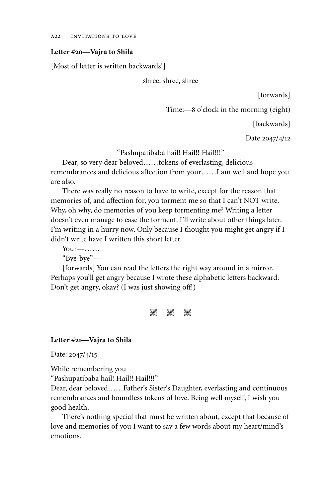## **Letter #20—Vajra to Shila**

[Most of letter is written backwards!]

shree, shree, shree

[forwards]

Time:—8 o'clock in the morning (eight)

[backwards]

Date 2047/4/12

"Pashupatibaba hail! Hail!! Hail!!!"

Dear, so very dear beloved……tokens of everlasting, delicious remembrances and delicious affection from your……I am well and hope you are also.

There was really no reason to have to write, except for the reason that memories of, and affection for, you torment me so that I can't NOT write. Why, oh why, do memories of you keep tormenting me? Writing a letter doesn't even manage to ease the torment. I'll write about other things later. I'm writing in a hurry now. Only because I thought you might get angry if I didn't write have I written this short letter.

Your—…… "Bye-bye"—

[forwards] You can read the letters the right way around in a mirror. Perhaps you'll get angry because I wrote these alphabetic letters backward. Don't get angry, okay? (I was just showing off!)

## VII VII VII

#### **Letter #21—Vajra to Shila**

Date: 2047/4/15

While remembering you

"Pashupatibaba hail! Hail!! Hail!!!"

Dear, dear beloved……Father's Sister's Daughter, everlasting and continuous remembrances and boundless tokens of love. Being well myself, I wish you good health.

There's nothing special that must be written about, except that because of love and memories of you I want to say a few words about my heart/mind's emotions.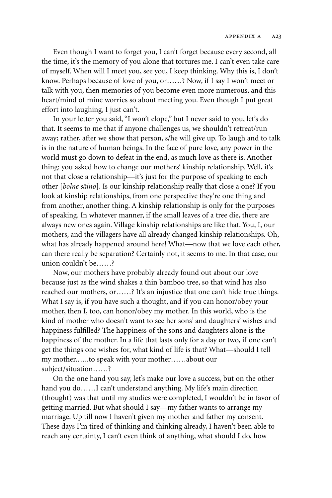Even though I want to forget you, I can't forget because every second, all the time, it's the memory of you alone that tortures me. I can't even take care of myself. When will I meet you, see you, I keep thinking. Why this is, I don't know. Perhaps because of love of you, or……? Now, if I say I won't meet or talk with you, then memories of you become even more numerous, and this heart/mind of mine worries so about meeting you. Even though I put great effort into laughing, I just can't.

In your letter you said, "I won't elope," but I never said to you, let's do that. It seems to me that if anyone challenges us, we shouldn't retreat/run away; rather, after we show that person, s/he will give up. To laugh and to talk is in the nature of human beings. In the face of pure love, any power in the world must go down to defeat in the end, as much love as there is. Another thing: you asked how to change our mothers' kinship relationship. Well, it's not that close a relationship—it's just for the purpose of speaking to each other [*bolne sāino*]. Is our kinship relationship really that close a one? If you look at kinship relationships, from one perspective they're one thing and from another, another thing. A kinship relationship is only for the purposes of speaking. In whatever manner, if the small leaves of a tree die, there are always new ones again. Village kinship relationships are like that. You, I, our mothers, and the villagers have all already changed kinship relationships. Oh, what has already happened around here! What—now that we love each other, can there really be separation? Certainly not, it seems to me. In that case, our union couldn't be……?

Now, our mothers have probably already found out about our love because just as the wind shakes a thin bamboo tree, so that wind has also reached our mothers, or……? It's an injustice that one can't hide true things. What I say is, if you have such a thought, and if you can honor/obey your mother, then I, too, can honor/obey my mother. In this world, who is the kind of mother who doesn't want to see her sons' and daughters' wishes and happiness fulfilled? The happiness of the sons and daughters alone is the happiness of the mother. In a life that lasts only for a day or two, if one can't get the things one wishes for, what kind of life is that? What—should I tell my mother.…..to speak with your mother……about our subject/situation……?

On the one hand you say, let's make our love a success, but on the other hand you do……I can't understand anything. My life's main direction (thought) was that until my studies were completed, I wouldn't be in favor of getting married. But what should I say—my father wants to arrange my marriage. Up till now I haven't given my mother and father my consent. These days I'm tired of thinking and thinking already, I haven't been able to reach any certainty, I can't even think of anything, what should I do, how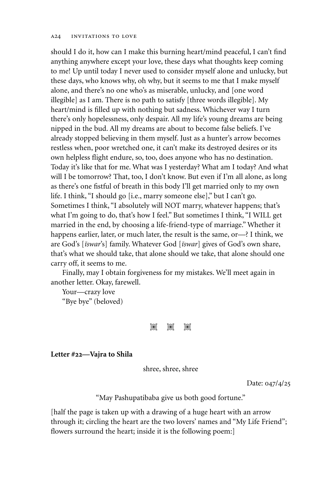should I do it, how can I make this burning heart/mind peaceful, I can't find anything anywhere except your love, these days what thoughts keep coming to me! Up until today I never used to consider myself alone and unlucky, but these days, who knows why, oh why, but it seems to me that I make myself alone, and there's no one who's as miserable, unlucky, and [one word illegible] as I am. There is no path to satisfy [three words illegible]. My heart/mind is filled up with nothing but sadness. Whichever way I turn there's only hopelessness, only despair. All my life's young dreams are being nipped in the bud. All my dreams are about to become false beliefs. I've already stopped believing in them myself. Just as a hunter's arrow becomes restless when, poor wretched one, it can't make its destroyed desires or its own helpless flight endure, so, too, does anyone who has no destination. Today it's like that for me. What was I yesterday? What am I today? And what will I be tomorrow? That, too, I don't know. But even if I'm all alone, as long as there's one fistful of breath in this body I'll get married only to my own life. I think, "I should go [i.e., marry someone else]," but I can't go. Sometimes I think, "I absolutely will NOT marry, whatever happens; that's what I'm going to do, that's how I feel." But sometimes I think, "I WILL get married in the end, by choosing a life-friend-type of marriage." Whether it happens earlier, later, or much later, the result is the same, or—? I think, we are God's [*¯ıswar*'s] family. Whatever God [*¯ıswar*] gives of God's own share, that's what we should take, that alone should we take, that alone should one carry off, it seems to me.

Finally, may I obtain forgiveness for my mistakes. We'll meet again in another letter. Okay, farewell.

Your—crazy love "Bye bye" (beloved)

VII VII VII

## **Letter #22—Vajra to Shila**

shree, shree, shree

Date: 047/4/25

"May Pashupatibaba give us both good fortune."

[half the page is taken up with a drawing of a huge heart with an arrow through it; circling the heart are the two lovers' names and "My Life Friend"; flowers surround the heart; inside it is the following poem:]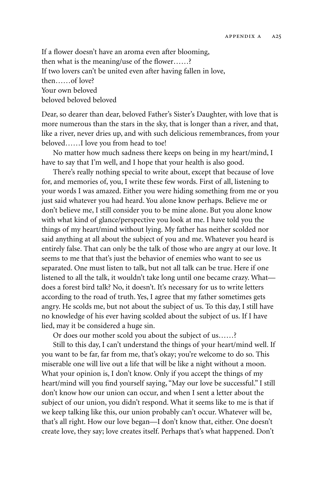If a flower doesn't have an aroma even after blooming, then what is the meaning/use of the flower……? If two lovers can't be united even after having fallen in love, then……of love? Your own beloved beloved beloved beloved

Dear, so dearer than dear, beloved Father's Sister's Daughter, with love that is more numerous than the stars in the sky, that is longer than a river, and that, like a river, never dries up, and with such delicious remembrances, from your beloved……I love you from head to toe!

No matter how much sadness there keeps on being in my heart/mind, I have to say that I'm well, and I hope that your health is also good.

There's really nothing special to write about, except that because of love for, and memories of, you, I write these few words. First of all, listening to your words I was amazed. Either you were hiding something from me or you just said whatever you had heard. You alone know perhaps. Believe me or don't believe me, I still consider you to be mine alone. But you alone know with what kind of glance/perspective you look at me. I have told you the things of my heart/mind without lying. My father has neither scolded nor said anything at all about the subject of you and me. Whatever you heard is entirely false. That can only be the talk of those who are angry at our love. It seems to me that that's just the behavior of enemies who want to see us separated. One must listen to talk, but not all talk can be true. Here if one listened to all the talk, it wouldn't take long until one became crazy. What does a forest bird talk? No, it doesn't. It's necessary for us to write letters according to the road of truth. Yes, I agree that my father sometimes gets angry. He scolds me, but not about the subject of us. To this day, I still have no knowledge of his ever having scolded about the subject of us. If I have lied, may it be considered a huge sin.

Or does our mother scold you about the subject of us……?

Still to this day, I can't understand the things of your heart/mind well. If you want to be far, far from me, that's okay; you're welcome to do so. This miserable one will live out a life that will be like a night without a moon. What your opinion is, I don't know. Only if you accept the things of my heart/mind will you find yourself saying, "May our love be successful." I still don't know how our union can occur, and when I sent a letter about the subject of our union, you didn't respond. What it seems like to me is that if we keep talking like this, our union probably can't occur. Whatever will be, that's all right. How our love began—I don't know that, either. One doesn't create love, they say; love creates itself. Perhaps that's what happened. Don't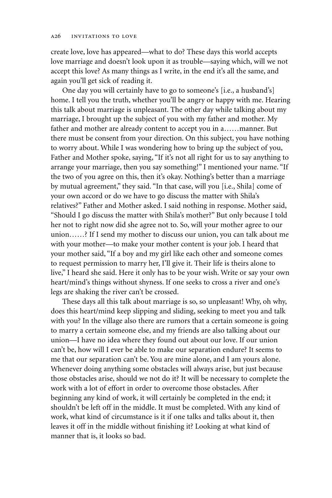create love, love has appeared—what to do? These days this world accepts love marriage and doesn't look upon it as trouble—saying which, will we not accept this love? As many things as I write, in the end it's all the same, and again you'll get sick of reading it.

One day you will certainly have to go to someone's [i.e., a husband's] home. I tell you the truth, whether you'll be angry or happy with me. Hearing this talk about marriage is unpleasant. The other day while talking about my marriage, I brought up the subject of you with my father and mother. My father and mother are already content to accept you in a……manner. But there must be consent from your direction. On this subject, you have nothing to worry about. While I was wondering how to bring up the subject of you, Father and Mother spoke, saying, "If it's not all right for us to say anything to arrange your marriage, then you say something!" I mentioned your name. "If the two of you agree on this, then it's okay. Nothing's better than a marriage by mutual agreement," they said. "In that case, will you [i.e., Shila] come of your own accord or do we have to go discuss the matter with Shila's relatives?" Father and Mother asked. I said nothing in response. Mother said, "Should I go discuss the matter with Shila's mother?" But only because I told her not to right now did she agree not to. So, will your mother agree to our union……? If I send my mother to discuss our union, you can talk about me with your mother—to make your mother content is your job. I heard that your mother said, "If a boy and my girl like each other and someone comes to request permission to marry her, I'll give it. Their life is theirs alone to live," I heard she said. Here it only has to be your wish. Write or say your own heart/mind's things without shyness. If one seeks to cross a river and one's legs are shaking the river can't be crossed.

These days all this talk about marriage is so, so unpleasant! Why, oh why, does this heart/mind keep slipping and sliding, seeking to meet you and talk with you? In the village also there are rumors that a certain someone is going to marry a certain someone else, and my friends are also talking about our union—I have no idea where they found out about our love. If our union can't be, how will I ever be able to make our separation endure? It seems to me that our separation can't be. You are mine alone, and I am yours alone. Whenever doing anything some obstacles will always arise, but just because those obstacles arise, should we not do it? It will be necessary to complete the work with a lot of effort in order to overcome those obstacles. After beginning any kind of work, it will certainly be completed in the end; it shouldn't be left off in the middle. It must be completed. With any kind of work, what kind of circumstance is it if one talks and talks about it, then leaves it off in the middle without finishing it? Looking at what kind of manner that is, it looks so bad.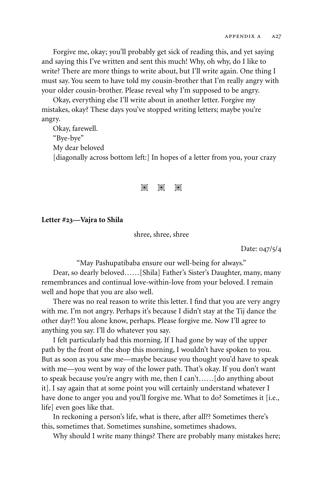Forgive me, okay; you'll probably get sick of reading this, and yet saying and saying this I've written and sent this much! Why, oh why, do I like to write? There are more things to write about, but I'll write again. One thing I must say. You seem to have told my cousin-brother that I'm really angry with your older cousin-brother. Please reveal why I'm supposed to be angry.

Okay, everything else I'll write about in another letter. Forgive my mistakes, okay? These days you've stopped writing letters; maybe you're angry.

Okay, farewell. "Bye-bye" My dear beloved [diagonally across bottom left:] In hopes of a letter from you, your crazy



**Letter #23—Vajra to Shila**

shree, shree, shree

Date: 047/5/4

"May Pashupatibaba ensure our well-being for always."

Dear, so dearly beloved……[Shila] Father's Sister's Daughter, many, many remembrances and continual love-within-love from your beloved. I remain well and hope that you are also well.

There was no real reason to write this letter. I find that you are very angry with me. I'm not angry. Perhaps it's because I didn't stay at the Tij dance the other day?! You alone know, perhaps. Please forgive me. Now I'll agree to anything you say. I'll do whatever you say.

I felt particularly bad this morning. If I had gone by way of the upper path by the front of the shop this morning, I wouldn't have spoken to you. But as soon as you saw me—maybe because you thought you'd have to speak with me—you went by way of the lower path. That's okay. If you don't want to speak because you're angry with me, then I can't……[do anything about it]. I say again that at some point you will certainly understand whatever I have done to anger you and you'll forgive me. What to do? Sometimes it [i.e., life] even goes like that.

In reckoning a person's life, what is there, after all?? Sometimes there's this, sometimes that. Sometimes sunshine, sometimes shadows.

Why should I write many things? There are probably many mistakes here;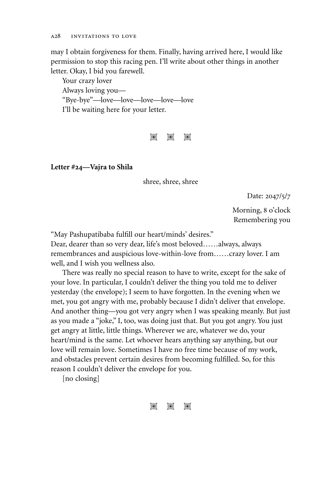may I obtain forgiveness for them. Finally, having arrived here, I would like permission to stop this racing pen. I'll write about other things in another letter. Okay, I bid you farewell.

Your crazy lover Always loving you— "Bye-bye"—love—love—love—love—love I'll be waiting here for your letter.

 $\mathscr{H}$   $\mathscr{H}$   $\mathscr{H}$ 

**Letter #24—Vajra to Shila**

shree, shree, shree

Date: 2047/5/7

Morning, 8 o'clock Remembering you

"May Pashupatibaba fulfill our heart/minds' desires."

Dear, dearer than so very dear, life's most beloved……always, always remembrances and auspicious love-within-love from……crazy lover. I am well, and I wish you wellness also.

There was really no special reason to have to write, except for the sake of your love. In particular, I couldn't deliver the thing you told me to deliver yesterday (the envelope); I seem to have forgotten. In the evening when we met, you got angry with me, probably because I didn't deliver that envelope. And another thing—you got very angry when I was speaking meanly. But just as you made a "joke," I, too, was doing just that. But you got angry. You just get angry at little, little things. Wherever we are, whatever we do, your heart/mind is the same. Let whoever hears anything say anything, but our love will remain love. Sometimes I have no free time because of my work, and obstacles prevent certain desires from becoming fulfilled. So, for this reason I couldn't deliver the envelope for you.

[no closing]

 $\mathscr{H}$   $\mathscr{H}$   $\mathscr{H}$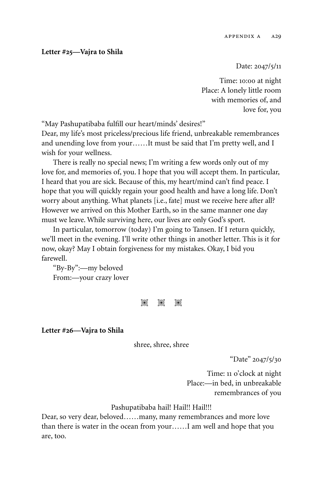## **Letter #25—Vajra to Shila**

Date: 2047/5/11

Time: 10:00 at night Place: A lonely little room with memories of, and love for, you

"May Pashupatibaba fulfill our heart/minds' desires!"

Dear, my life's most priceless/precious life friend, unbreakable remembrances and unending love from your……It must be said that I'm pretty well, and I wish for your wellness.

There is really no special news; I'm writing a few words only out of my love for, and memories of, you. I hope that you will accept them. In particular, I heard that you are sick. Because of this, my heart/mind can't find peace. I hope that you will quickly regain your good health and have a long life. Don't worry about anything. What planets [i.e., fate] must we receive here after all? However we arrived on this Mother Earth, so in the same manner one day must we leave. While surviving here, our lives are only God's sport.

In particular, tomorrow (today) I'm going to Tansen. If I return quickly, we'll meet in the evening. I'll write other things in another letter. This is it for now, okay? May I obtain forgiveness for my mistakes. Okay, I bid you farewell.

"By-By":—my beloved From:—your crazy lover

## $\mathcal{H} \quad \mathcal{H} \quad \mathcal{H}$

#### **Letter #26—Vajra to Shila**

shree, shree, shree

"Date" 2047/5/30

Time: 11 o'clock at night Place:—in bed, in unbreakable remembrances of you

#### Pashupatibaba hail! Hail!! Hail!!!

Dear, so very dear, beloved……many, many remembrances and more love than there is water in the ocean from your……I am well and hope that you are, too.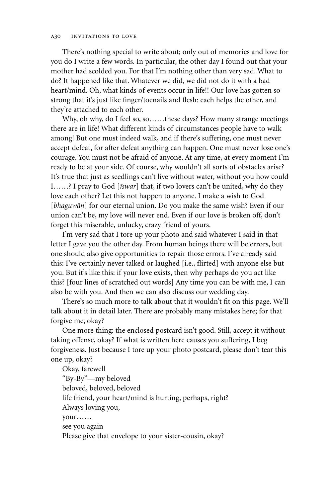There's nothing special to write about; only out of memories and love for you do I write a few words. In particular, the other day I found out that your mother had scolded you. For that I'm nothing other than very sad. What to do? It happened like that. Whatever we did, we did not do it with a bad heart/mind. Oh, what kinds of events occur in life!! Our love has gotten so strong that it's just like finger/toenails and flesh: each helps the other, and they're attached to each other.

Why, oh why, do I feel so, so……these days? How many strange meetings there are in life! What different kinds of circumstances people have to walk among! But one must indeed walk, and if there's suffering, one must never accept defeat, for after defeat anything can happen. One must never lose one's courage. You must not be afraid of anyone. At any time, at every moment I'm ready to be at your side. Of course, why wouldn't all sorts of obstacles arise? It's true that just as seedlings can't live without water, without you how could I......? I pray to God [*īswar*] that, if two lovers can't be united, why do they love each other? Let this not happen to anyone. I make a wish to God [*bhaguwān*] for our eternal union. Do you make the same wish? Even if our union can't be, my love will never end. Even if our love is broken off, don't forget this miserable, unlucky, crazy friend of yours.

I'm very sad that I tore up your photo and said whatever I said in that letter I gave you the other day. From human beings there will be errors, but one should also give opportunities to repair those errors. I've already said this: I've certainly never talked or laughed [i.e., flirted] with anyone else but you. But it's like this: if your love exists, then why perhaps do you act like this? [four lines of scratched out words] Any time you can be with me, I can also be with you. And then we can also discuss our wedding day.

There's so much more to talk about that it wouldn't fit on this page. We'll talk about it in detail later. There are probably many mistakes here; for that forgive me, okay?

One more thing: the enclosed postcard isn't good. Still, accept it without taking offense, okay? If what is written here causes you suffering, I beg forgiveness. Just because I tore up your photo postcard, please don't tear this one up, okay?

Okay, farewell "By-By"—my beloved beloved, beloved, beloved life friend, your heart/mind is hurting, perhaps, right? Always loving you, your…… see you again Please give that envelope to your sister-cousin, okay?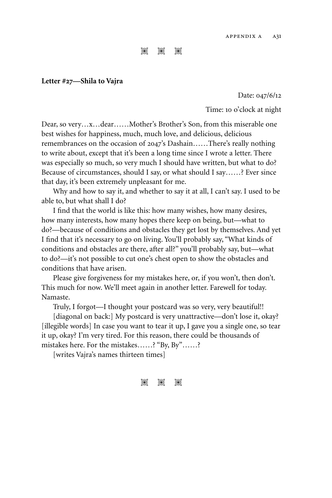## $\mathscr{H}$   $\mathscr{H}$   $\mathscr{H}$

#### **Letter #27—Shila to Vajra**

Date: 047/6/12

## Time: 10 o'clock at night

Dear, so very…x…dear……Mother's Brother's Son, from this miserable one best wishes for happiness, much, much love, and delicious, delicious remembrances on the occasion of 2047's Dashain……There's really nothing to write about, except that it's been a long time since I wrote a letter. There was especially so much, so very much I should have written, but what to do? Because of circumstances, should I say, or what should I say……? Ever since that day, it's been extremely unpleasant for me.

Why and how to say it, and whether to say it at all, I can't say. I used to be able to, but what shall I do?

I find that the world is like this: how many wishes, how many desires, how many interests, how many hopes there keep on being, but—what to do?—because of conditions and obstacles they get lost by themselves. And yet I find that it's necessary to go on living. You'll probably say, "What kinds of conditions and obstacles are there, after all?" you'll probably say, but—what to do?—it's not possible to cut one's chest open to show the obstacles and conditions that have arisen.

Please give forgiveness for my mistakes here, or, if you won't, then don't. This much for now. We'll meet again in another letter. Farewell for today. Namaste.

Truly, I forgot—I thought your postcard was so very, very beautiful!!

[diagonal on back:] My postcard is very unattractive—don't lose it, okay? [illegible words] In case you want to tear it up, I gave you a single one, so tear it up, okay? I'm very tired. For this reason, there could be thousands of mistakes here. For the mistakes……? "By, By"……?

[writes Vajra's names thirteen times]

 $\mathcal H\quad\mathcal H\quad\mathcal H$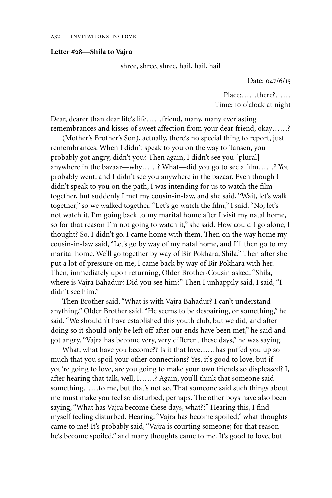## **Letter #28—Shila to Vajra**

shree, shree, shree, hail, hail, hail

Date: 047/6/15

Place:……there?…… Time: 10 o'clock at night

Dear, dearer than dear life's life……friend, many, many everlasting remembrances and kisses of sweet affection from your dear friend, okay……?

(Mother's Brother's Son), actually, there's no special thing to report, just remembrances. When I didn't speak to you on the way to Tansen, you probably got angry, didn't you? Then again, I didn't see you [plural] anywhere in the bazaar—why……? What—did you go to see a film……? You probably went, and I didn't see you anywhere in the bazaar. Even though I didn't speak to you on the path, I was intending for us to watch the film together, but suddenly I met my cousin-in-law, and she said, "Wait, let's walk together," so we walked together. "Let's go watch the film," I said. "No, let's not watch it. I'm going back to my marital home after I visit my natal home, so for that reason I'm not going to watch it," she said. How could I go alone, I thought? So, I didn't go. I came home with them. Then on the way home my cousin-in-law said, "Let's go by way of my natal home, and I'll then go to my marital home. We'll go together by way of Bir Pokhara, Shila." Then after she put a lot of pressure on me, I came back by way of Bir Pokhara with her. Then, immediately upon returning, Older Brother-Cousin asked, "Shila, where is Vajra Bahadur? Did you see him?" Then I unhappily said, I said, "I didn't see him."

Then Brother said, "What is with Vajra Bahadur? I can't understand anything," Older Brother said. "He seems to be despairing, or something," he said. "We shouldn't have established this youth club, but we did, and after doing so it should only be left off after our ends have been met," he said and got angry. "Vajra has become very, very different these days," he was saying.

What, what have you become?? Is it that love……has puffed you up so much that you spoil your other connections? Yes, it's good to love, but if you're going to love, are you going to make your own friends so displeased? I, after hearing that talk, well, I……? Again, you'll think that someone said something……to me, but that's not so. That someone said such things about me must make you feel so disturbed, perhaps. The other boys have also been saying, "What has Vajra become these days, what??" Hearing this, I find myself feeling disturbed. Hearing, "Vajra has become spoiled," what thoughts came to me! It's probably said, "Vajra is courting someone; for that reason he's become spoiled," and many thoughts came to me. It's good to love, but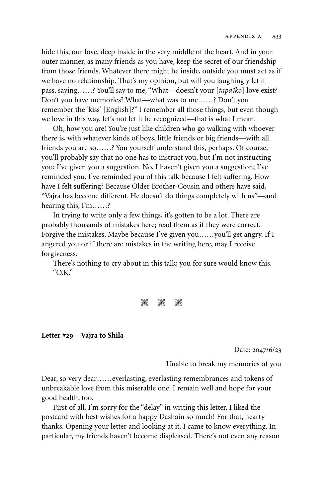hide this, our love, deep inside in the very middle of the heart. And in your outer manner, as many friends as you have, keep the secret of our friendship from those friends. Whatever there might be inside, outside you must act as if we have no relationship. That's my opinion, but will you laughingly let it pass, saying……? You'll say to me, "What—doesn't your [*tapa˜ıko*] love exist? Don't you have memories? What—what was to me……? Don't you remember the 'kiss' [English]?" I remember all those things, but even though we love in this way, let's not let it be recognized—that is what I mean.

Oh, how you are! You're just like children who go walking with whoever there is, with whatever kinds of boys, little friends or big friends—with all friends you are so……? You yourself understand this, perhaps. Of course, you'll probably say that no one has to instruct you, but I'm not instructing you; I've given you a suggestion. No, I haven't given you a suggestion; I've reminded you. I've reminded you of this talk because I felt suffering. How have I felt suffering? Because Older Brother-Cousin and others have said, "Vajra has become different. He doesn't do things completely with us"—and hearing this, I'm……?

In trying to write only a few things, it's gotten to be a lot. There are probably thousands of mistakes here; read them as if they were correct. Forgive the mistakes. Maybe because I've given you……you'll get angry. If I angered you or if there are mistakes in the writing here, may I receive forgiveness.

There's nothing to cry about in this talk; you for sure would know this. " $\bigcap K$ "



#### **Letter #29—Vajra to Shila**

Date: 2047/6/23

Unable to break my memories of you

Dear, so very dear……everlasting, everlasting remembrances and tokens of unbreakable love from this miserable one. I remain well and hope for your good health, too.

First of all, I'm sorry for the "delay" in writing this letter. I liked the postcard with best wishes for a happy Dashain so much! For that, hearty thanks. Opening your letter and looking at it, I came to know everything. In particular, my friends haven't become displeased. There's not even any reason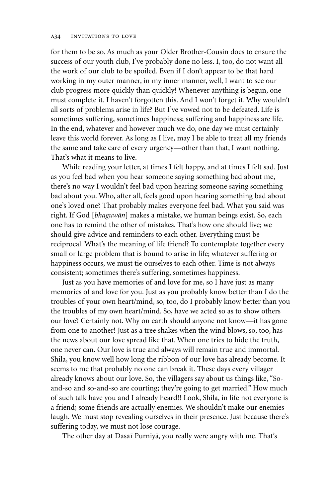for them to be so. As much as your Older Brother-Cousin does to ensure the success of our youth club, I've probably done no less. I, too, do not want all the work of our club to be spoiled. Even if I don't appear to be that hard working in my outer manner, in my inner manner, well, I want to see our club progress more quickly than quickly! Whenever anything is begun, one must complete it. I haven't forgotten this. And I won't forget it. Why wouldn't all sorts of problems arise in life? But I've vowed not to be defeated. Life is sometimes suffering, sometimes happiness; suffering and happiness are life. In the end, whatever and however much we do, one day we must certainly leave this world forever. As long as I live, may I be able to treat all my friends the same and take care of every urgency—other than that, I want nothing. That's what it means to live.

While reading your letter, at times I felt happy, and at times I felt sad. Just as you feel bad when you hear someone saying something bad about me, there's no way I wouldn't feel bad upon hearing someone saying something bad about you. Who, after all, feels good upon hearing something bad about one's loved one? That probably makes everyone feel bad. What you said was right. If God [bhaguwān] makes a mistake, we human beings exist. So, each one has to remind the other of mistakes. That's how one should live; we should give advice and reminders to each other. Everything must be reciprocal. What's the meaning of life friend? To contemplate together every small or large problem that is bound to arise in life; whatever suffering or happiness occurs, we must tie ourselves to each other. Time is not always consistent; sometimes there's suffering, sometimes happiness.

Just as you have memories of and love for me, so I have just as many memories of and love for you. Just as you probably know better than I do the troubles of your own heart/mind, so, too, do I probably know better than you the troubles of my own heart/mind. So, have we acted so as to show others our love? Certainly not. Why on earth should anyone not know—it has gone from one to another! Just as a tree shakes when the wind blows, so, too, has the news about our love spread like that. When one tries to hide the truth, one never can. Our love is true and always will remain true and immortal. Shila, you know well how long the ribbon of our love has already become. It seems to me that probably no one can break it. These days every villager already knows about our love. So, the villagers say about us things like, "Soand-so and so-and-so are courting; they're going to get married." How much of such talk have you and I already heard!! Look, Shila, in life not everyone is a friend; some friends are actually enemies. We shouldn't make our enemies laugh. We must stop revealing ourselves in their presence. Just because there's suffering today, we must not lose courage.

The other day at Dasaĩ Purniyā, you really were angry with me. That's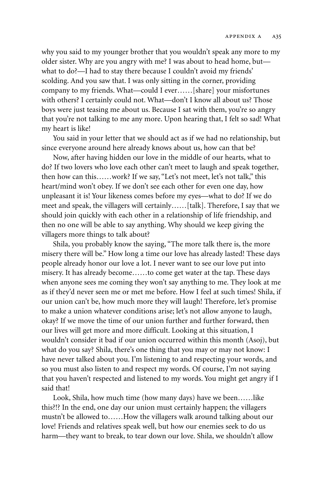why you said to my younger brother that you wouldn't speak any more to my older sister. Why are you angry with me? I was about to head home, but what to do?—I had to stay there because I couldn't avoid my friends' scolding. And you saw that. I was only sitting in the corner, providing company to my friends. What—could I ever……[share] your misfortunes with others? I certainly could not. What—don't I know all about us? Those boys were just teasing me about us. Because I sat with them, you're so angry that you're not talking to me any more. Upon hearing that, I felt so sad! What my heart is like!

You said in your letter that we should act as if we had no relationship, but since everyone around here already knows about us, how can that be?

Now, after having hidden our love in the middle of our hearts, what to do? If two lovers who love each other can't meet to laugh and speak together, then how can this……work? If we say, "Let's not meet, let's not talk," this heart/mind won't obey. If we don't see each other for even one day, how unpleasant it is! Your likeness comes before my eyes—what to do? If we do meet and speak, the villagers will certainly……[talk]. Therefore, I say that we should join quickly with each other in a relationship of life friendship, and then no one will be able to say anything. Why should we keep giving the villagers more things to talk about?

Shila, you probably know the saying, "The more talk there is, the more misery there will be." How long a time our love has already lasted! These days people already honor our love a lot. I never want to see our love put into misery. It has already become……to come get water at the tap. These days when anyone sees me coming they won't say anything to me. They look at me as if they'd never seen me or met me before. How I feel at such times! Shila, if our union can't be, how much more they will laugh! Therefore, let's promise to make a union whatever conditions arise; let's not allow anyone to laugh, okay? If we move the time of our union further and further forward, then our lives will get more and more difficult. Looking at this situation, I wouldn't consider it bad if our union occurred within this month (Asoj), but what do you say? Shila, there's one thing that you may or may not know: I have never talked about you. I'm listening to and respecting your words, and so you must also listen to and respect my words. Of course, I'm not saying that you haven't respected and listened to my words. You might get angry if I said that!

Look, Shila, how much time (how many days) have we been……like this?!? In the end, one day our union must certainly happen; the villagers mustn't be allowed to……How the villagers walk around talking about our love! Friends and relatives speak well, but how our enemies seek to do us harm—they want to break, to tear down our love. Shila, we shouldn't allow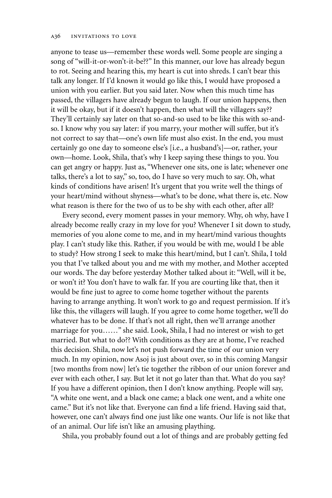anyone to tease us—remember these words well. Some people are singing a song of "will-it-or-won't-it-be??" In this manner, our love has already begun to rot. Seeing and hearing this, my heart is cut into shreds. I can't bear this talk any longer. If I'd known it would go like this, I would have proposed a union with you earlier. But you said later. Now when this much time has passed, the villagers have already begun to laugh. If our union happens, then it will be okay, but if it doesn't happen, then what will the villagers say?? They'll certainly say later on that so-and-so used to be like this with so-andso. I know why you say later: if you marry, your mother will suffer, but it's not correct to say that—one's own life must also exist. In the end, you must certainly go one day to someone else's [i.e., a husband's]—or, rather, your own—home. Look, Shila, that's why I keep saying these things to you. You can get angry or happy. Just as, "Whenever one sits, one is late; whenever one talks, there's a lot to say," so, too, do I have so very much to say. Oh, what kinds of conditions have arisen! It's urgent that you write well the things of your heart/mind without shyness—what's to be done, what there is, etc. Now what reason is there for the two of us to be shy with each other, after all?

Every second, every moment passes in your memory. Why, oh why, have I already become really crazy in my love for you? Whenever I sit down to study, memories of you alone come to me, and in my heart/mind various thoughts play. I can't study like this. Rather, if you would be with me, would I be able to study? How strong I seek to make this heart/mind, but I can't. Shila, I told you that I've talked about you and me with my mother, and Mother accepted our words. The day before yesterday Mother talked about it: "Well, will it be, or won't it? You don't have to walk far. If you are courting like that, then it would be fine just to agree to come home together without the parents having to arrange anything. It won't work to go and request permission. If it's like this, the villagers will laugh. If you agree to come home together, we'll do whatever has to be done. If that's not all right, then we'll arrange another marriage for you……" she said. Look, Shila, I had no interest or wish to get married. But what to do?? With conditions as they are at home, I've reached this decision. Shila, now let's not push forward the time of our union very much. In my opinion, now Asoj is just about over, so in this coming Mangsir [two months from now] let's tie together the ribbon of our union forever and ever with each other, I say. But let it not go later than that. What do you say? If you have a different opinion, then I don't know anything. People will say, "A white one went, and a black one came; a black one went, and a white one came." But it's not like that. Everyone can find a life friend. Having said that, however, one can't always find one just like one wants. Our life is not like that of an animal. Our life isn't like an amusing plaything.

Shila, you probably found out a lot of things and are probably getting fed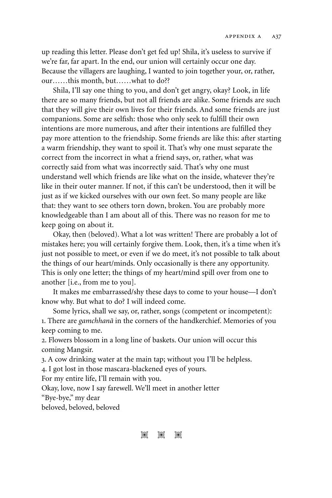up reading this letter. Please don't get fed up! Shila, it's useless to survive if we're far, far apart. In the end, our union will certainly occur one day. Because the villagers are laughing, I wanted to join together your, or, rather, our……this month, but……what to do??

Shila, I'll say one thing to you, and don't get angry, okay? Look, in life there are so many friends, but not all friends are alike. Some friends are such that they will give their own lives for their friends. And some friends are just companions. Some are selfish: those who only seek to fulfill their own intentions are more numerous, and after their intentions are fulfilled they pay more attention to the friendship. Some friends are like this: after starting a warm friendship, they want to spoil it. That's why one must separate the correct from the incorrect in what a friend says, or, rather, what was correctly said from what was incorrectly said. That's why one must understand well which friends are like what on the inside, whatever they're like in their outer manner. If not, if this can't be understood, then it will be just as if we kicked ourselves with our own feet. So many people are like that: they want to see others torn down, broken. You are probably more knowledgeable than I am about all of this. There was no reason for me to keep going on about it.

Okay, then (beloved). What a lot was written! There are probably a lot of mistakes here; you will certainly forgive them. Look, then, it's a time when it's just not possible to meet, or even if we do meet, it's not possible to talk about the things of our heart/minds. Only occasionally is there any opportunity. This is only one letter; the things of my heart/mind spill over from one to another [i.e., from me to you].

It makes me embarrassed/shy these days to come to your house—I don't know why. But what to do? I will indeed come.

Some lyrics, shall we say, or, rather, songs (competent or incompetent): 1. There are *gamchhanā* in the corners of the handkerchief. Memories of you keep coming to me.

2. Flowers blossom in a long line of baskets. Our union will occur this coming Mangsir.

3. A cow drinking water at the main tap; without you I'll be helpless.

4. I got lost in those mascara-blackened eyes of yours.

For my entire life, I'll remain with you.

Okay, love, now I say farewell. We'll meet in another letter

"Bye-bye," my dear

beloved, beloved, beloved

 $\mathscr{H}$   $\mathscr{H}$   $\mathscr{H}$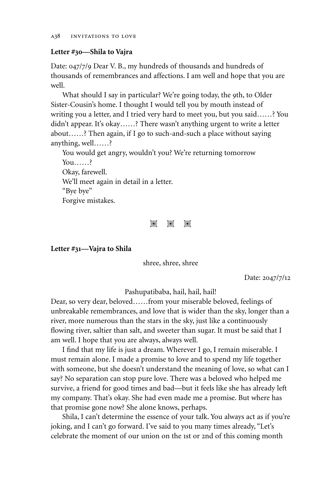## **Letter #30—Shila to Vajra**

Date: 047/7/9 Dear V. B., my hundreds of thousands and hundreds of thousands of remembrances and affections. I am well and hope that you are well.

What should I say in particular? We're going today, the 9th, to Older Sister-Cousin's home. I thought I would tell you by mouth instead of writing you a letter, and I tried very hard to meet you, but you said……? You didn't appear. It's okay……? There wasn't anything urgent to write a letter about……? Then again, if I go to such-and-such a place without saying anything, well……?

You would get angry, wouldn't you? We're returning tomorrow You……? Okay, farewell. We'll meet again in detail in a letter. "Bye bye" Forgive mistakes.

 $\mathbb{X}\quad\mathbb{X}\quad\mathbb{X}$ 

## **Letter #31—Vajra to Shila**

shree, shree, shree

Date: 2047/7/12

Pashupatibaba, hail, hail, hail!

Dear, so very dear, beloved……from your miserable beloved, feelings of unbreakable remembrances, and love that is wider than the sky, longer than a river, more numerous than the stars in the sky, just like a continuously flowing river, saltier than salt, and sweeter than sugar. It must be said that I am well. I hope that you are always, always well.

I find that my life is just a dream. Wherever I go, I remain miserable. I must remain alone. I made a promise to love and to spend my life together with someone, but she doesn't understand the meaning of love, so what can I say? No separation can stop pure love. There was a beloved who helped me survive, a friend for good times and bad—but it feels like she has already left my company. That's okay. She had even made me a promise. But where has that promise gone now? She alone knows, perhaps.

Shila, I can't determine the essence of your talk. You always act as if you're joking, and I can't go forward. I've said to you many times already, "Let's celebrate the moment of our union on the 1st or 2nd of this coming month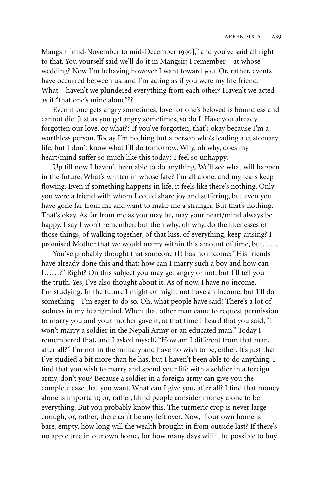Mangsir [mid-November to mid-December 1990]," and you've said all right to that. You yourself said we'll do it in Mangsir; I remember—at whose wedding? Now I'm behaving however I want toward you. Or, rather, events have occurred between us, and I'm acting as if you were my life friend. What—haven't we plundered everything from each other? Haven't we acted as if "that one's mine alone"??

Even if one gets angry sometimes, love for one's beloved is boundless and cannot die. Just as you get angry sometimes, so do I. Have you already forgotten our love, or what?? If you've forgotten, that's okay because I'm a worthless person. Today I'm nothing but a person who's leading a customary life, but I don't know what I'll do tomorrow. Why, oh why, does my heart/mind suffer so much like this today? I feel so unhappy.

Up till now I haven't been able to do anything. We'll see what will happen in the future. What's written in whose fate? I'm all alone, and my tears keep flowing. Even if something happens in life, it feels like there's nothing. Only you were a friend with whom I could share joy and suffering, but even you have gone far from me and want to make me a stranger. But that's nothing. That's okay. As far from me as you may be, may your heart/mind always be happy. I say I won't remember, but then why, oh why, do the likenesses of those things, of walking together, of that kiss, of everything, keep arising? I promised Mother that we would marry within this amount of time, but……

You've probably thought that someone (I) has no income: "His friends have already done this and that; how can I marry such a boy and how can I……?" Right? On this subject you may get angry or not, but I'll tell you the truth. Yes, I've also thought about it. As of now, I have no income. I'm studying. In the future I might or might not have an income, but I'll do something—I'm eager to do so. Oh, what people have said! There's a lot of sadness in my heart/mind. When that other man came to request permission to marry you and your mother gave it, at that time I heard that you said, "I won't marry a soldier in the Nepali Army or an educated man." Today I remembered that, and I asked myself, "How am I different from that man, after all?" I'm not in the military and have no wish to be, either. It's just that I've studied a bit more than he has, but I haven't been able to do anything. I find that you wish to marry and spend your life with a soldier in a foreign army, don't you? Because a soldier in a foreign army can give you the complete ease that you want. What can I give you, after all? I find that money alone is important; or, rather, blind people consider money alone to be everything. But you probably know this. The turmeric crop is never large enough, or, rather, there can't be any left over. Now, if our own home is bare, empty, how long will the wealth brought in from outside last? If there's no apple tree in our own home, for how many days will it be possible to buy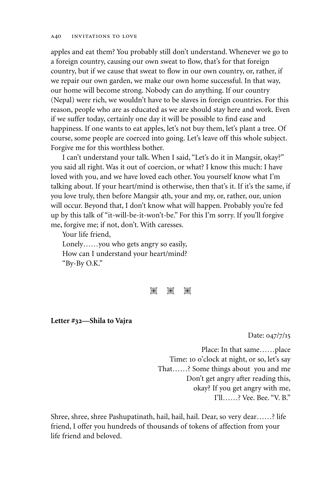apples and eat them? You probably still don't understand. Whenever we go to a foreign country, causing our own sweat to flow, that's for that foreign country, but if we cause that sweat to flow in our own country, or, rather, if we repair our own garden, we make our own home successful. In that way, our home will become strong. Nobody can do anything. If our country (Nepal) were rich, we wouldn't have to be slaves in foreign countries. For this reason, people who are as educated as we are should stay here and work. Even if we suffer today, certainly one day it will be possible to find ease and happiness. If one wants to eat apples, let's not buy them, let's plant a tree. Of course, some people are coerced into going. Let's leave off this whole subject. Forgive me for this worthless bother.

I can't understand your talk. When I said, "Let's do it in Mangsir, okay?" you said all right. Was it out of coercion, or what? I know this much: I have loved with you, and we have loved each other. You yourself know what I'm talking about. If your heart/mind is otherwise, then that's it. If it's the same, if you love truly, then before Mangsir 4th, your and my, or, rather, our, union will occur. Beyond that, I don't know what will happen. Probably you're fed up by this talk of "it-will-be-it-won't-be." For this I'm sorry. If you'll forgive me, forgive me; if not, don't. With caresses.

Your life friend,

Lonely……you who gets angry so easily, How can I understand your heart/mind? "By-By O.K."

# $\mathscr{H}$   $\mathscr{H}$   $\mathscr{H}$

**Letter #32—Shila to Vajra**

Date: 047/7/15

Place: In that same……place Time: 10 o'clock at night, or so, let's say That……? Some things about you and me Don't get angry after reading this, okay? If you get angry with me, I'll……? Vee. Bee. "V. B."

Shree, shree, shree Pashupatinath, hail, hail, hail. Dear, so very dear……? life friend, I offer you hundreds of thousands of tokens of affection from your life friend and beloved.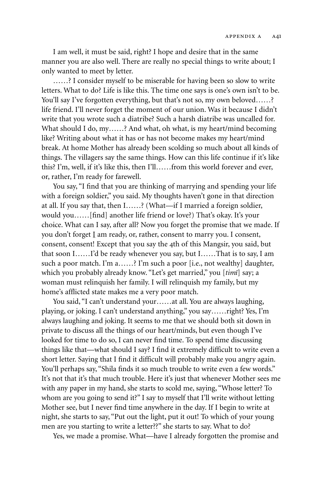I am well, it must be said, right? I hope and desire that in the same manner you are also well. There are really no special things to write about; I only wanted to meet by letter.

……? I consider myself to be miserable for having been so slow to write letters. What to do? Life is like this. The time one says is one's own isn't to be. You'll say I've forgotten everything, but that's not so, my own beloved......? life friend. I'll never forget the moment of our union. Was it because I didn't write that you wrote such a diatribe? Such a harsh diatribe was uncalled for. What should I do, my......? And what, oh what, is my heart/mind becoming like? Writing about what it has or has not become makes my heart/mind break. At home Mother has already been scolding so much about all kinds of things. The villagers say the same things. How can this life continue if it's like this? I'm, well, if it's like this, then I'll……from this world forever and ever, or, rather, I'm ready for farewell.

You say, "I find that you are thinking of marrying and spending your life with a foreign soldier," you said. My thoughts haven't gone in that direction at all. If you say that, then I……? (What—if I married a foreign soldier, would you……[find] another life friend or love?) That's okay. It's your choice. What can I say, after all? Now you forget the promise that we made. If you don't forget I am ready, or, rather, consent to marry you. I consent, consent, consent! Except that you say the 4th of this Mangsir, you said, but that soon I……I'd be ready whenever you say, but I……That is to say, I am such a poor match. I'm a……? I'm such a poor [i.e., not wealthy] daughter, which you probably already know. "Let's get married," you [*timī*] say; a woman must relinquish her family. I will relinquish my family, but my home's afflicted state makes me a very poor match.

You said, "I can't understand your……at all. You are always laughing, playing, or joking. I can't understand anything," you say……right? Yes, I'm always laughing and joking. It seems to me that we should both sit down in private to discuss all the things of our heart/minds, but even though I've looked for time to do so, I can never find time. To spend time discussing things like that—what should I say? I find it extremely difficult to write even a short letter. Saying that I find it difficult will probably make you angry again. You'll perhaps say, "Shila finds it so much trouble to write even a few words." It's not that it's that much trouble. Here it's just that whenever Mother sees me with any paper in my hand, she starts to scold me, saying, "Whose letter? To whom are you going to send it?" I say to myself that I'll write without letting Mother see, but I never find time anywhere in the day. If I begin to write at night, she starts to say, "Put out the light, put it out! To which of your young men are you starting to write a letter??" she starts to say. What to do?

Yes, we made a promise. What—have I already forgotten the promise and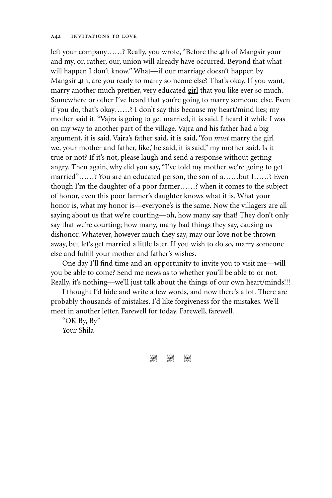left your company……? Really, you wrote, "Before the 4th of Mangsir your and my, or, rather, our, union will already have occurred. Beyond that what will happen I don't know." What—if our marriage doesn't happen by Mangsir 4th, are you ready to marry someone else? That's okay. If you want, marry another much prettier, very educated girl that you like ever so much. Somewhere or other I've heard that you're going to marry someone else. Even if you do, that's okay……? I don't say this because my heart/mind lies; my mother said it. "Vajra is going to get married, it is said. I heard it while I was on my way to another part of the village. Vajra and his father had a big argument, it is said. Vajra's father said, it is said, 'You *must* marry the girl we, your mother and father, like,' he said, it is said," my mother said. Is it true or not? If it's not, please laugh and send a response without getting angry. Then again, why did you say, "I've told my mother we're going to get married"……? You are an educated person, the son of a……but I……? Even though I'm the daughter of a poor farmer……? when it comes to the subject of honor, even this poor farmer's daughter knows what it is. What your honor is, what my honor is—everyone's is the same. Now the villagers are all saying about us that we're courting—oh, how many say that! They don't only say that we're courting; how many, many bad things they say, causing us dishonor. Whatever, however much they say, may our love not be thrown away, but let's get married a little later. If you wish to do so, marry someone else and fulfill your mother and father's wishes.

One day I'll find time and an opportunity to invite you to visit me—will you be able to come? Send me news as to whether you'll be able to or not. Really, it's nothing—we'll just talk about the things of our own heart/minds!!!

I thought I'd hide and write a few words, and now there's a lot. There are probably thousands of mistakes. I'd like forgiveness for the mistakes. We'll meet in another letter. Farewell for today. Farewell, farewell.

"OK By, By" Your Shila

 $\mathcal W$   $\mathcal W$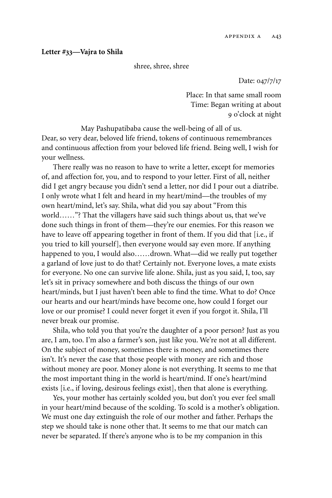### **Letter #33—Vajra to Shila**

shree, shree, shree

Date: 047/7/17

Place: In that same small room Time: Began writing at about 9 o'clock at night

May Pashupatibaba cause the well-being of all of us. Dear, so very dear, beloved life friend, tokens of continuous remembrances and continuous affection from your beloved life friend. Being well, I wish for your wellness.

There really was no reason to have to write a letter, except for memories of, and affection for, you, and to respond to your letter. First of all, neither did I get angry because you didn't send a letter, nor did I pour out a diatribe. I only wrote what I felt and heard in my heart/mind—the troubles of my own heart/mind, let's say. Shila, what did you say about "From this world……"? That the villagers have said such things about us, that we've done such things in front of them—they're our enemies. For this reason we have to leave off appearing together in front of them. If you did that [i.e., if you tried to kill yourself], then everyone would say even more. If anything happened to you, I would also……drown. What—did we really put together a garland of love just to do that? Certainly not. Everyone loves, a mate exists for everyone. No one can survive life alone. Shila, just as you said, I, too, say let's sit in privacy somewhere and both discuss the things of our own heart/minds, but I just haven't been able to find the time. What to do? Once our hearts and our heart/minds have become one, how could I forget our love or our promise? I could never forget it even if you forgot it. Shila, I'll never break our promise.

Shila, who told you that you're the daughter of a poor person? Just as you are, I am, too. I'm also a farmer's son, just like you. We're not at all different. On the subject of money, sometimes there is money, and sometimes there isn't. It's never the case that those people with money are rich and those without money are poor. Money alone is not everything. It seems to me that the most important thing in the world is heart/mind. If one's heart/mind exists [i.e., if loving, desirous feelings exist], then that alone is everything.

Yes, your mother has certainly scolded you, but don't you ever feel small in your heart/mind because of the scolding. To scold is a mother's obligation. We must one day extinguish the role of our mother and father. Perhaps the step we should take is none other that. It seems to me that our match can never be separated. If there's anyone who is to be my companion in this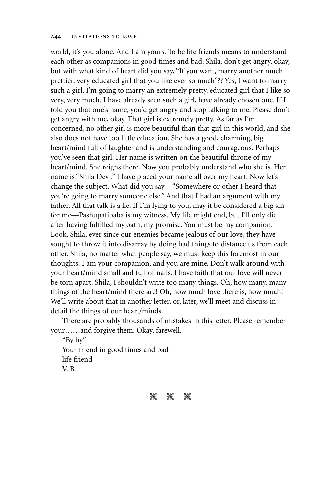world, it's you alone. And I am yours. To be life friends means to understand each other as companions in good times and bad. Shila, don't get angry, okay, but with what kind of heart did you say, "If you want, marry another much prettier, very educated girl that you like ever so much"?? Yes, I want to marry such a girl. I'm going to marry an extremely pretty, educated girl that I like so very, very much. I have already seen such a girl, have already chosen one. If I told you that one's name, you'd get angry and stop talking to me. Please don't get angry with me, okay. That girl is extremely pretty. As far as I'm concerned, no other girl is more beautiful than that girl in this world, and she also does not have too little education. She has a good, charming, big heart/mind full of laughter and is understanding and courageous. Perhaps you've seen that girl. Her name is written on the beautiful throne of my heart/mind. She reigns there. Now you probably understand who she is. Her name is "Shila Devi." I have placed your name all over my heart. Now let's change the subject. What did you say—"Somewhere or other I heard that you're going to marry someone else." And that I had an argument with my father. All that talk is a lie. If I'm lying to you, may it be considered a big sin for me—Pashupatibaba is my witness. My life might end, but I'll only die after having fulfilled my oath, my promise. You must be my companion. Look, Shila, ever since our enemies became jealous of our love, they have sought to throw it into disarray by doing bad things to distance us from each other. Shila, no matter what people say, we must keep this foremost in our thoughts: I am your companion, and you are mine. Don't walk around with your heart/mind small and full of nails. I have faith that our love will never be torn apart. Shila, I shouldn't write too many things. Oh, how many, many things of the heart/mind there are! Oh, how much love there is, how much! We'll write about that in another letter, or, later, we'll meet and discuss in detail the things of our heart/minds.

There are probably thousands of mistakes in this letter. Please remember your……and forgive them. Okay, farewell.

"By by" Your friend in good times and bad life friend V. B.

 $\mathscr{H}$   $\mathscr{H}$   $\mathscr{H}$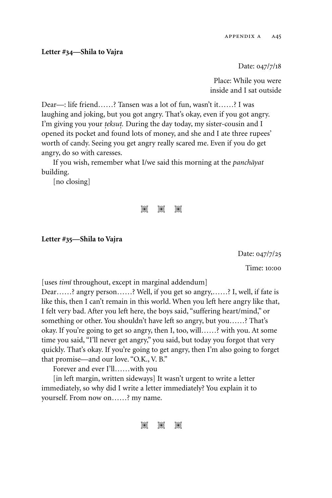## **Letter #34—Shila to Vajra**

Date: 047/7/18

Place: While you were inside and I sat outside

Dear—: life friend……? Tansen was a lot of fun, wasn't it……? I was laughing and joking, but you got angry. That's okay, even if you got angry. I'm giving you your *teksut*. During the day today, my sister-cousin and I opened its pocket and found lots of money, and she and I ate three rupees' worth of candy. Seeing you get angry really scared me. Even if you do get angry, do so with caresses.

If you wish, remember what I/we said this morning at the *panchayat* building.

[no closing]



**Letter #35—Shila to Vajra**

Date: 047/7/25

Time: 10:00

[uses *timī* throughout, except in marginal addendum]

Dear……? angry person……? Well, if you get so angry,……? I, well, if fate is like this, then I can't remain in this world. When you left here angry like that, I felt very bad. After you left here, the boys said, "suffering heart/mind," or something or other. You shouldn't have left so angry, but you……? That's okay. If you're going to get so angry, then I, too, will……? with you. At some time you said, "I'll never get angry," you said, but today you forgot that very quickly. That's okay. If you're going to get angry, then I'm also going to forget that promise—and our love. "O.K., V. B."

Forever and ever I'll……with you

[in left margin, written sideways] It wasn't urgent to write a letter immediately, so why did I write a letter immediately? You explain it to yourself. From now on……? my name.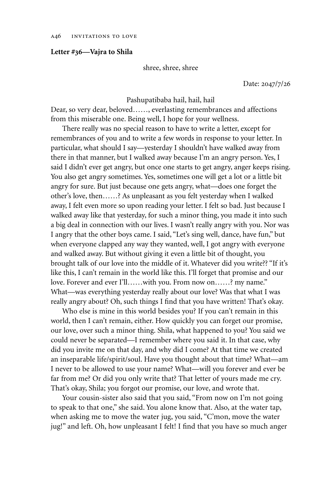## **Letter #36—Vajra to Shila**

#### shree, shree, shree

Date: 2047/7/26

### Pashupatibaba hail, hail, hail

Dear, so very dear, beloved……, everlasting remembrances and affections from this miserable one. Being well, I hope for your wellness.

There really was no special reason to have to write a letter, except for remembrances of you and to write a few words in response to your letter. In particular, what should I say—yesterday I shouldn't have walked away from there in that manner, but I walked away because I'm an angry person. Yes, I said I didn't ever get angry, but once one starts to get angry, anger keeps rising. You also get angry sometimes. Yes, sometimes one will get a lot or a little bit angry for sure. But just because one gets angry, what—does one forget the other's love, then……? As unpleasant as you felt yesterday when I walked away, I felt even more so upon reading your letter. I felt so bad. Just because I walked away like that yesterday, for such a minor thing, you made it into such a big deal in connection with our lives. I wasn't really angry with you. Nor was I angry that the other boys came. I said, "Let's sing well, dance, have fun," but when everyone clapped any way they wanted, well, I got angry with everyone and walked away. But without giving it even a little bit of thought, you brought talk of our love into the middle of it. Whatever did you write?? "If it's like this, I can't remain in the world like this. I'll forget that promise and our love. Forever and ever I'll……with you. From now on……? my name." What—was everything yesterday really about our love? Was that what I was really angry about? Oh, such things I find that you have written! That's okay.

Who else is mine in this world besides you? If you can't remain in this world, then I can't remain, either. How quickly you can forget our promise, our love, over such a minor thing. Shila, what happened to you? You said we could never be separated—I remember where you said it. In that case, why did you invite me on that day, and why did I come? At that time we created an inseparable life/spirit/soul. Have you thought about that time? What—am I never to be allowed to use your name? What—will you forever and ever be far from me? Or did you only write that? That letter of yours made me cry. That's okay, Shila; you forgot our promise, our love, and wrote that.

Your cousin-sister also said that you said, "From now on I'm not going to speak to that one," she said. You alone know that. Also, at the water tap, when asking me to move the water jug, you said, "C'mon, move the water jug!" and left. Oh, how unpleasant I felt! I find that you have so much anger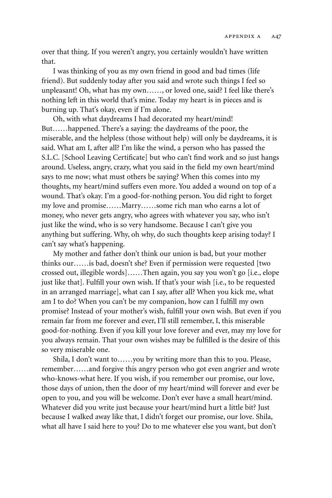over that thing. If you weren't angry, you certainly wouldn't have written that.

I was thinking of you as my own friend in good and bad times (life friend). But suddenly today after you said and wrote such things I feel so unpleasant! Oh, what has my own……, or loved one, said? I feel like there's nothing left in this world that's mine. Today my heart is in pieces and is burning up. That's okay, even if I'm alone.

Oh, with what daydreams I had decorated my heart/mind! But……happened. There's a saying: the daydreams of the poor, the miserable, and the helpless (those without help) will only be daydreams, it is said. What am I, after all? I'm like the wind, a person who has passed the S.L.C. [School Leaving Certificate] but who can't find work and so just hangs around. Useless, angry, crazy, what you said in the field my own heart/mind says to me now; what must others be saying? When this comes into my thoughts, my heart/mind suffers even more. You added a wound on top of a wound. That's okay. I'm a good-for-nothing person. You did right to forget my love and promise……Marry……some rich man who earns a lot of money, who never gets angry, who agrees with whatever you say, who isn't just like the wind, who is so very handsome. Because I can't give you anything but suffering. Why, oh why, do such thoughts keep arising today? I can't say what's happening.

My mother and father don't think our union is bad, but your mother thinks our……is bad, doesn't she? Even if permission were requested [two crossed out, illegible words]……Then again, you say you won't go [i.e., elope just like that]. Fulfill your own wish. If that's your wish [i.e., to be requested in an arranged marriage], what can I say, after all? When you kick me, what am I to do? When you can't be my companion, how can I fulfill my own promise? Instead of your mother's wish, fulfill your own wish. But even if you remain far from me forever and ever, I'll still remember, I, this miserable good-for-nothing. Even if you kill your love forever and ever, may my love for you always remain. That your own wishes may be fulfilled is the desire of this so very miserable one.

Shila, I don't want to……you by writing more than this to you. Please, remember……and forgive this angry person who got even angrier and wrote who-knows-what here. If you wish, if you remember our promise, our love, those days of union, then the door of my heart/mind will forever and ever be open to you, and you will be welcome. Don't ever have a small heart/mind. Whatever did you write just because your heart/mind hurt a little bit? Just because I walked away like that, I didn't forget our promise, our love. Shila, what all have I said here to you? Do to me whatever else you want, but don't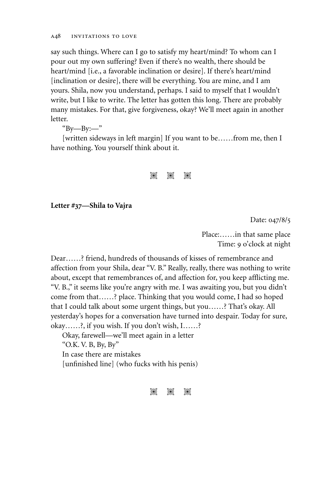say such things. Where can I go to satisfy my heart/mind? To whom can I pour out my own suffering? Even if there's no wealth, there should be heart/mind [i.e., a favorable inclination or desire]. If there's heart/mind [inclination or desire], there will be everything. You are mine, and I am yours. Shila, now you understand, perhaps. I said to myself that I wouldn't write, but I like to write. The letter has gotten this long. There are probably many mistakes. For that, give forgiveness, okay? We'll meet again in another letter.

 $\text{``By—By:}\text{—''}$ 

[written sideways in left margin] If you want to be......from me, then I have nothing. You yourself think about it.

## $\mathscr{H}$   $\mathscr{H}$   $\mathscr{H}$

**Letter #37—Shila to Vajra**

Date: 047/8/5

Place:……in that same place Time: 9 o'clock at night

Dear……? friend, hundreds of thousands of kisses of remembrance and affection from your Shila, dear "V. B." Really, really, there was nothing to write about, except that remembrances of, and affection for, you keep afflicting me. "V. B.," it seems like you're angry with me. I was awaiting you, but you didn't come from that……? place. Thinking that you would come, I had so hoped that I could talk about some urgent things, but you……? That's okay. All yesterday's hopes for a conversation have turned into despair. Today for sure, okay……?, if you wish. If you don't wish, I……?

Okay, farewell—we'll meet again in a letter "O.K. V. B, By, By" In case there are mistakes [unfinished line] (who fucks with his penis)

VM VM VM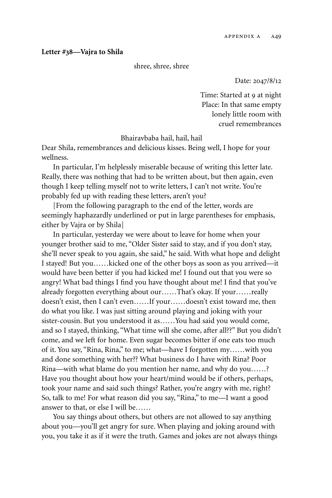# shree, shree, shree

Date: 2047/8/12

Time: Started at 9 at night Place: In that same empty lonely little room with cruel remembrances

Bhairavbaba hail, hail, hail

Dear Shila, remembrances and delicious kisses. Being well, I hope for your wellness.

In particular, I'm helplessly miserable because of writing this letter late. Really, there was nothing that had to be written about, but then again, even though I keep telling myself not to write letters, I can't not write. You're probably fed up with reading these letters, aren't you?

[From the following paragraph to the end of the letter, words are seemingly haphazardly underlined or put in large parentheses for emphasis, either by Vajra or by Shila]

In particular, yesterday we were about to leave for home when your younger brother said to me, "Older Sister said to stay, and if you don't stay, she'll never speak to you again, she said," he said. With what hope and delight I stayed! But you……kicked one of the other boys as soon as you arrived—it would have been better if you had kicked me! I found out that you were so angry! What bad things I find you have thought about me! I find that you've already forgotten everything about our……That's okay. If your……really doesn't exist, then I can't even……If your……doesn't exist toward me, then do what you like. I was just sitting around playing and joking with your sister-cousin. But you understood it as……You had said you would come, and so I stayed, thinking, "What time will she come, after all??" But you didn't come, and we left for home. Even sugar becomes bitter if one eats too much of it. You say, "Rina, Rina," to me; what—have I forgotten my……with you and done something with her?? What business do I have with Rina? Poor Rina—with what blame do you mention her name, and why do you……? Have you thought about how your heart/mind would be if others, perhaps, took your name and said such things? Rather, you're angry with me, right? So, talk to me! For what reason did you say, "Rina," to me—I want a good answer to that, or else I will be……

You say things about others, but others are not allowed to say anything about you—you'll get angry for sure. When playing and joking around with you, you take it as if it were the truth. Games and jokes are not always things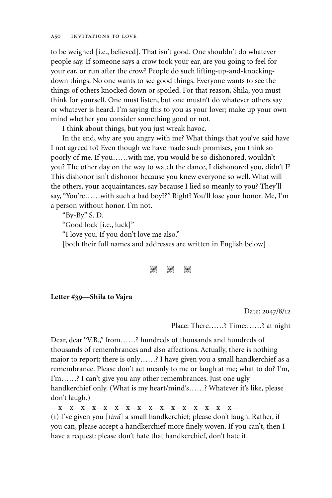to be weighed [i.e., believed]. That isn't good. One shouldn't do whatever people say. If someone says a crow took your ear, are you going to feel for your ear, or run after the crow? People do such lifting-up-and-knockingdown things. No one wants to see good things. Everyone wants to see the things of others knocked down or spoiled. For that reason, Shila, you must think for yourself. One must listen, but one mustn't do whatever others say or whatever is heard. I'm saying this to you as your lover; make up your own mind whether you consider something good or not.

I think about things, but you just wreak havoc.

In the end, why are you angry with me? What things that you've said have I not agreed to? Even though we have made such promises, you think so poorly of me. If you……with me, you would be so dishonored, wouldn't you? The other day on the way to watch the dance, I dishonored you, didn't I? This dishonor isn't dishonor because you knew everyone so well. What will the others, your acquaintances, say because I lied so meanly to you? They'll say, "You're……with such a bad boy??" Right? You'll lose your honor. Me, I'm a person without honor. I'm not.

"By-By" S. D.

"Good lock [i.e., luck]"

"I love you. If you don't love me also."

[both their full names and addresses are written in English below]

# $\mathscr{H}$   $\mathscr{H}$   $\mathscr{H}$

#### **Letter #39—Shila to Vajra**

Date: 2047/8/12

Place: There……? Time:……? at night

Dear, dear "V.B.," from……? hundreds of thousands and hundreds of thousands of remembrances and also affections. Actually, there is nothing major to report; there is only……? I have given you a small handkerchief as a remembrance. Please don't act meanly to me or laugh at me; what to do? I'm, I'm……? I can't give you any other remembrances. Just one ugly handkerchief only. (What is my heart/mind's……? Whatever it's like, please don't laugh.)

—x—x—x—x—x—x—x—x—x—x—x—x—x—x—x—x— (1) I've given you [*tim¯ı*] a small handkerchief; please don't laugh. Rather, if you can, please accept a handkerchief more finely woven. If you can't, then I

have a request: please don't hate that handkerchief, don't hate it.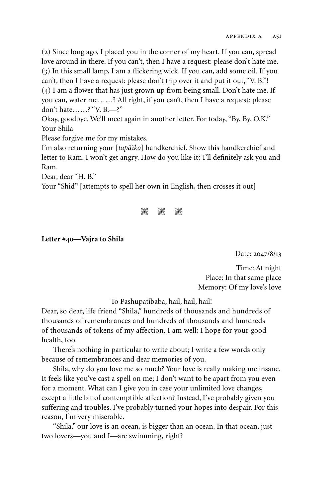(2) Since long ago, I placed you in the corner of my heart. If you can, spread love around in there. If you can't, then I have a request: please don't hate me. (3) In this small lamp, I am a flickering wick. If you can, add some oil. If you can't, then I have a request: please don't trip over it and put it out, "V. B."!

(4) I am a flower that has just grown up from being small. Don't hate me. If you can, water me……? All right, if you can't, then I have a request: please don't hate……? "V. B.—?"

Okay, goodbye. We'll meet again in another letter. For today, "By, By. O.K." Your Shila

Please forgive me for my mistakes.

I'm also returning your [tapāīko] handkerchief. Show this handkerchief and letter to Ram. I won't get angry. How do you like it? I'll definitely ask you and Ram.

Dear, dear "H. B."

Your "Shid" [attempts to spell her own in English, then crosses it out]



**Letter #40—Vajra to Shila**

Date: 2047/8/13

Time: At night Place: In that same place Memory: Of my love's love

To Pashupatibaba, hail, hail, hail!

Dear, so dear, life friend "Shila," hundreds of thousands and hundreds of thousands of remembrances and hundreds of thousands and hundreds of thousands of tokens of my affection. I am well; I hope for your good health, too.

There's nothing in particular to write about; I write a few words only because of remembrances and dear memories of you.

Shila, why do you love me so much? Your love is really making me insane. It feels like you've cast a spell on me; I don't want to be apart from you even for a moment. What can I give you in case your unlimited love changes, except a little bit of contemptible affection? Instead, I've probably given you suffering and troubles. I've probably turned your hopes into despair. For this reason, I'm very miserable.

"Shila," our love is an ocean, is bigger than an ocean. In that ocean, just two lovers—you and I—are swimming, right?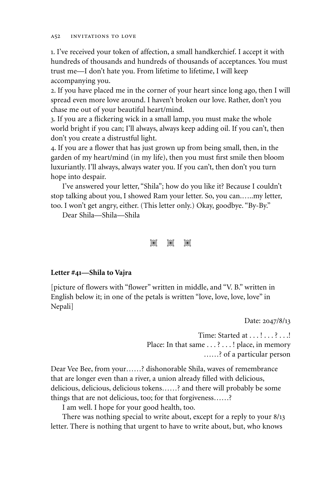1. I've received your token of affection, a small handkerchief. I accept it with hundreds of thousands and hundreds of thousands of acceptances. You must trust me—I don't hate you. From lifetime to lifetime, I will keep accompanying you.

2. If you have placed me in the corner of your heart since long ago, then I will spread even more love around. I haven't broken our love. Rather, don't you chase me out of your beautiful heart/mind.

3. If you are a flickering wick in a small lamp, you must make the whole world bright if you can; I'll always, always keep adding oil. If you can't, then don't you create a distrustful light.

4. If you are a flower that has just grown up from being small, then, in the garden of my heart/mind (in my life), then you must first smile then bloom luxuriantly. I'll always, always water you. If you can't, then don't you turn hope into despair.

I've answered your letter, "Shila"; how do you like it? Because I couldn't stop talking about you, I showed Ram your letter. So, you can.…..my letter, too. I won't get angry, either. (This letter only.) Okay, goodbye. "By-By."

Dear Shila—Shila—Shila

VII VII VII

# **Letter #41—Shila to Vajra**

[picture of flowers with "flower" written in middle, and "V. B." written in English below it; in one of the petals is written "love, love, love, love" in Nepali]

Date: 2047/8/13

Time: Started at . . . ! . . . ? . . .! Place: In that same . . . ? . . . ! place, in memory ……? of a particular person

Dear Vee Bee, from your……? dishonorable Shila, waves of remembrance that are longer even than a river, a union already filled with delicious, delicious, delicious, delicious tokens……? and there will probably be some things that are not delicious, too; for that forgiveness……?

I am well. I hope for your good health, too.

There was nothing special to write about, except for a reply to your 8/13 letter. There is nothing that urgent to have to write about, but, who knows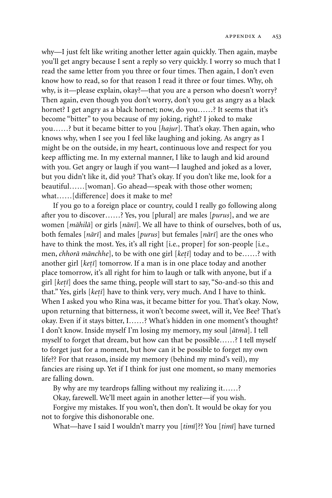why—I just felt like writing another letter again quickly. Then again, maybe you'll get angry because I sent a reply so very quickly. I worry so much that I read the same letter from you three or four times. Then again, I don't even know how to read, so for that reason I read it three or four times. Why, oh why, is it—please explain, okay?—that you are a person who doesn't worry? Then again, even though you don't worry, don't you get as angry as a black hornet? I get angry as a black hornet; now, do you……? It seems that it's become "bitter" to you because of my joking, right? I joked to make you……? but it became bitter to you [*hajur*]. That's okay. Then again, who knows why, when I see you I feel like laughing and joking. As angry as I might be on the outside, in my heart, continuous love and respect for you keep afflicting me. In my external manner, I like to laugh and kid around with you. Get angry or laugh if you want—I laughed and joked as a lover, but you didn't like it, did you? That's okay. If you don't like me, look for a beautiful……[woman]. Go ahead—speak with those other women; what……[difference] does it make to me?

If you go to a foreign place or country, could I really go following along after you to discover……? Yes, you [plural] are males [*purus*], and we are women [*māhilā*] or girls [*nānī*]. We all have to think of ourselves, both of us, both females [*na¯r¯ı*] and males [*purus*] but females [*na¯r¯ı*] are the ones who have to think the most. Yes, it's all right [i.e., proper] for son-people [i.e., men, *chhorā mānchhe*], to be with one girl [*keṭī*] today and to be……? with another girl *[keṭī]* tomorrow. If a man is in one place today and another place tomorrow, it's all right for him to laugh or talk with anyone, but if a girl *[keṭī]* does the same thing, people will start to say, "So-and-so this and that." Yes, girls [*keṭī*] have to think very, very much. And I have to think. When I asked you who Rina was, it became bitter for you. That's okay. Now, upon returning that bitterness, it won't become sweet, will it, Vee Bee? That's okay. Even if it stays bitter, I……? What's hidden in one moment's thought? I don't know. Inside myself I'm losing my memory, my soul [ $\bar{a}$ tma<sup> $\bar{a}$ </sup>]. I tell myself to forget that dream, but how can that be possible……? I tell myself to forget just for a moment, but how can it be possible to forget my own life?? For that reason, inside my memory (behind my mind's veil), my fancies are rising up. Yet if I think for just one moment, so many memories are falling down.

By why are my teardrops falling without my realizing it……?

Okay, farewell. We'll meet again in another letter—if you wish.

Forgive my mistakes. If you won't, then don't. It would be okay for you not to forgive this dishonorable one.

What—have I said I wouldn't marry you [timi]?? You [timi] have turned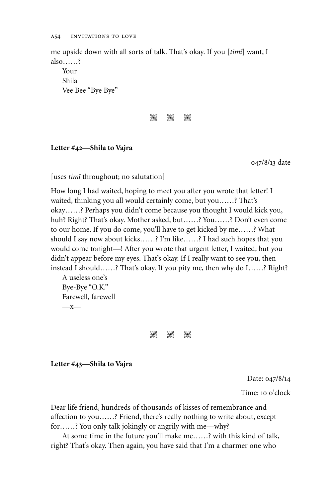me upside down with all sorts of talk. That's okay. If you [*tim¯ı*] want, I also……?

Your Shila Vee Bee "Bye Bye"

 $\mathscr{H}$   $\mathscr{H}$   $\mathscr{H}$ 

**Letter #42—Shila to Vajra**

047/8/13 date

[uses *timī* throughout; no salutation]

How long I had waited, hoping to meet you after you wrote that letter! I waited, thinking you all would certainly come, but you……? That's okay……? Perhaps you didn't come because you thought I would kick you, huh? Right? That's okay. Mother asked, but……? You……? Don't even come to our home. If you do come, you'll have to get kicked by me……? What should I say now about kicks……? I'm like……? I had such hopes that you would come tonight—! After you wrote that urgent letter, I waited, but you didn't appear before my eyes. That's okay. If I really want to see you, then instead I should……? That's okay. If you pity me, then why do I……? Right?

A useless one's Bye-Bye "O.K." Farewell, farewell  $-x-$ 

 $\mathscr{H}$   $\mathscr{H}$   $\mathscr{H}$ 

**Letter #43—Shila to Vajra**

Date: 047/8/14

Time: 10 o'clock

Dear life friend, hundreds of thousands of kisses of remembrance and affection to you……? Friend, there's really nothing to write about, except for……? You only talk jokingly or angrily with me—why?

At some time in the future you'll make me……? with this kind of talk, right? That's okay. Then again, you have said that I'm a charmer one who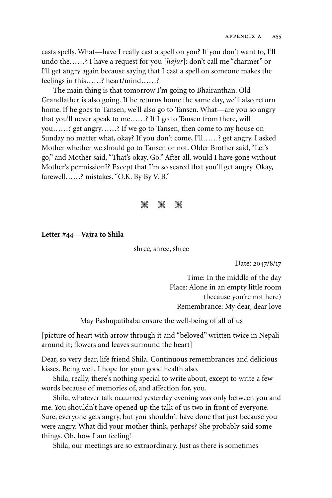casts spells. What—have I really cast a spell on you? If you don't want to, I'll undo the……? I have a request for you [*hajur*]: don't call me "charmer" or I'll get angry again because saying that I cast a spell on someone makes the feelings in this……? heart/mind……?

The main thing is that tomorrow I'm going to Bhairanthan. Old Grandfather is also going. If he returns home the same day, we'll also return home. If he goes to Tansen, we'll also go to Tansen. What—are you so angry that you'll never speak to me……? If I go to Tansen from there, will you……? get angry……? If we go to Tansen, then come to my house on Sunday no matter what, okay? If you don't come, I'll……? get angry. I asked Mother whether we should go to Tansen or not. Older Brother said, "Let's go," and Mother said, "That's okay. Go." After all, would I have gone without Mother's permission?? Except that I'm so scared that you'll get angry. Okay, farewell……? mistakes. "O.K. By By V. B."



**Letter #44—Vajra to Shila**

shree, shree, shree

Date: 2047/8/17

Time: In the middle of the day Place: Alone in an empty little room (because you're not here) Remembrance: My dear, dear love

May Pashupatibaba ensure the well-being of all of us

[picture of heart with arrow through it and "beloved" written twice in Nepali around it; flowers and leaves surround the heart]

Dear, so very dear, life friend Shila. Continuous remembrances and delicious kisses. Being well, I hope for your good health also.

Shila, really, there's nothing special to write about, except to write a few words because of memories of, and affection for, you.

Shila, whatever talk occurred yesterday evening was only between you and me. You shouldn't have opened up the talk of us two in front of everyone. Sure, everyone gets angry, but you shouldn't have done that just because you were angry. What did your mother think, perhaps? She probably said some things. Oh, how I am feeling!

Shila, our meetings are so extraordinary. Just as there is sometimes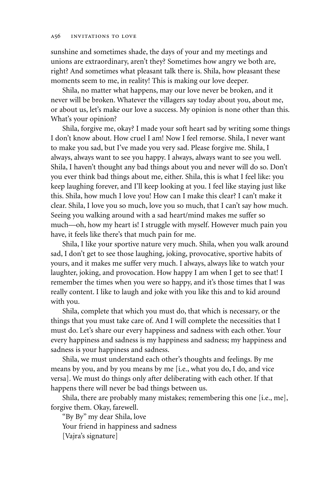sunshine and sometimes shade, the days of your and my meetings and unions are extraordinary, aren't they? Sometimes how angry we both are, right? And sometimes what pleasant talk there is. Shila, how pleasant these moments seem to me, in reality! This is making our love deeper.

Shila, no matter what happens, may our love never be broken, and it never will be broken. Whatever the villagers say today about you, about me, or about us, let's make our love a success. My opinion is none other than this. What's your opinion?

Shila, forgive me, okay? I made your soft heart sad by writing some things I don't know about. How cruel I am! Now I feel remorse. Shila, I never want to make you sad, but I've made you very sad. Please forgive me. Shila, I always, always want to see you happy. I always, always want to see you well. Shila, I haven't thought any bad things about you and never will do so. Don't you ever think bad things about me, either. Shila, this is what I feel like: you keep laughing forever, and I'll keep looking at you. I feel like staying just like this. Shila, how much I love you! How can I make this clear? I can't make it clear. Shila, I love you so much, love you so much, that I can't say how much. Seeing you walking around with a sad heart/mind makes me suffer so much—oh, how my heart is! I struggle with myself. However much pain you have, it feels like there's that much pain for me.

Shila, I like your sportive nature very much. Shila, when you walk around sad, I don't get to see those laughing, joking, provocative, sportive habits of yours, and it makes me suffer very much. I always, always like to watch your laughter, joking, and provocation. How happy I am when I get to see that! I remember the times when you were so happy, and it's those times that I was really content. I like to laugh and joke with you like this and to kid around with you.

Shila, complete that which you must do, that which is necessary, or the things that you must take care of. And I will complete the necessities that I must do. Let's share our every happiness and sadness with each other. Your every happiness and sadness is my happiness and sadness; my happiness and sadness is your happiness and sadness.

Shila, we must understand each other's thoughts and feelings. By me means by you, and by you means by me [i.e., what you do, I do, and vice versa]. We must do things only after deliberating with each other. If that happens there will never be bad things between us.

Shila, there are probably many mistakes; remembering this one [i.e., me], forgive them. Okay, farewell.

"By By" my dear Shila, love Your friend in happiness and sadness [Vajra's signature]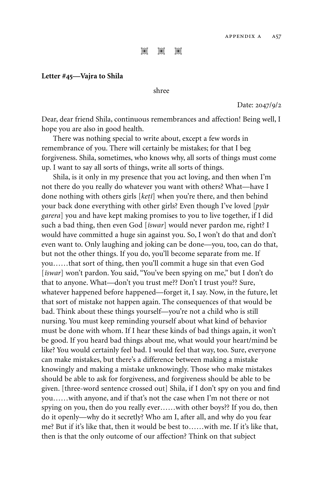## $\mathcal H\quad\mathcal H\quad\mathcal H$

#### **Letter #45—Vajra to Shila**

shree

Date: 2047/9/2

Dear, dear friend Shila, continuous remembrances and affection! Being well, I hope you are also in good health.

There was nothing special to write about, except a few words in remembrance of you. There will certainly be mistakes; for that I beg forgiveness. Shila, sometimes, who knows why, all sorts of things must come up. I want to say all sorts of things, write all sorts of things.

Shila, is it only in my presence that you act loving, and then when I'm not there do you really do whatever you want with others? What—have I done nothing with others girls [*ketī*] when you're there, and then behind your back done everything with other girls? Even though I've loved [*pyār garera*] you and have kept making promises to you to live together, if I did such a bad thing, then even God [*īswar*] would never pardon me, right? I would have committed a huge sin against you. So, I won't do that and don't even want to. Only laughing and joking can be done—you, too, can do that, but not the other things. If you do, you'll become separate from me. If you……that sort of thing, then you'll commit a huge sin that even God [*¯ıswar*] won't pardon. You said, "You've been spying on me," but I don't do that to anyone. What—don't you trust me?? Don't I trust you?? Sure, whatever happened before happened—forget it, I say. Now, in the future, let that sort of mistake not happen again. The consequences of that would be bad. Think about these things yourself—you're not a child who is still nursing. You must keep reminding yourself about what kind of behavior must be done with whom. If I hear these kinds of bad things again, it won't be good. If you heard bad things about me, what would your heart/mind be like? You would certainly feel bad. I would feel that way, too. Sure, everyone can make mistakes, but there's a difference between making a mistake knowingly and making a mistake unknowingly. Those who make mistakes should be able to ask for forgiveness, and forgiveness should be able to be given. [three-word sentence crossed out] Shila, if I don't spy on you and find you……with anyone, and if that's not the case when I'm not there or not spying on you, then do you really ever……with other boys?? If you do, then do it openly—why do it secretly? Who am I, after all, and why do you fear me? But if it's like that, then it would be best to……with me. If it's like that, then is that the only outcome of our affection? Think on that subject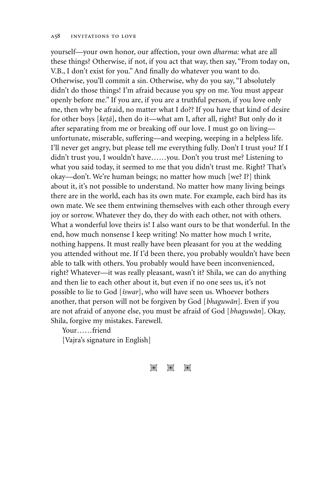yourself—your own honor, our affection, your own *dharma:* what are all these things? Otherwise, if not, if you act that way, then say, "From today on, V.B., I don't exist for you." And finally do whatever you want to do. Otherwise, you'll commit a sin. Otherwise, why do you say, "I absolutely didn't do those things! I'm afraid because you spy on me. You must appear openly before me." If you are, if you are a truthful person, if you love only me, then why be afraid, no matter what I do?? If you have that kind of desire for other boys *[keṭā*], then do it—what am I, after all, right? But only do it after separating from me or breaking off our love. I must go on living unfortunate, miserable, suffering—and weeping, weeping in a helpless life. I'll never get angry, but please tell me everything fully. Don't I trust you? If I didn't trust you, I wouldn't have……you. Don't you trust me? Listening to what you said today, it seemed to me that you didn't trust me. Right? That's okay—don't. We're human beings; no matter how much [we? I?] think about it, it's not possible to understand. No matter how many living beings there are in the world, each has its own mate. For example, each bird has its own mate. We see them entwining themselves with each other through every joy or sorrow. Whatever they do, they do with each other, not with others. What a wonderful love theirs is! I also want ours to be that wonderful. In the end, how much nonsense I keep writing! No matter how much I write, nothing happens. It must really have been pleasant for you at the wedding you attended without me. If I'd been there, you probably wouldn't have been able to talk with others. You probably would have been inconvenienced, right? Whatever—it was really pleasant, wasn't it? Shila, we can do anything and then lie to each other about it, but even if no one sees us, it's not possible to lie to God [*¯ıswar*], who will have seen us. Whoever bothers another, that person will not be forgiven by God [*bhaguwān*]. Even if you are not afraid of anyone else, you must be afraid of God [bhaguwān]. Okay, Shila, forgive my mistakes. Farewell.

Your……friend

[Vajra's signature in English]

 $\mathscr{H}$   $\mathscr{H}$   $\mathscr{H}$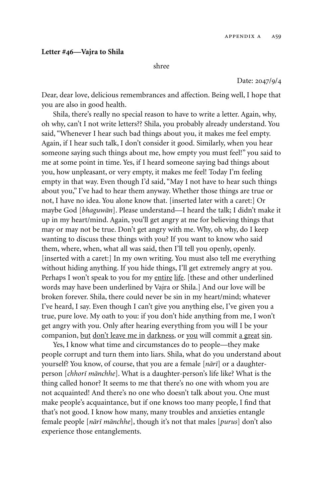### **Letter #46—Vajra to Shila**

#### shree

#### Date: 2047/9/4

Dear, dear love, delicious remembrances and affection. Being well, I hope that you are also in good health.

Shila, there's really no special reason to have to write a letter. Again, why, oh why, can't I not write letters?? Shila, you probably already understand. You said, "Whenever I hear such bad things about you, it makes me feel empty. Again, if I hear such talk, I don't consider it good. Similarly, when you hear someone saying such things about me, how empty you must feel!" you said to me at some point in time. Yes, if I heard someone saying bad things about you, how unpleasant, or very empty, it makes me feel! Today I'm feeling empty in that way. Even though I'd said, "May I not have to hear such things about you," I've had to hear them anyway. Whether those things are true or not, I have no idea. You alone know that. [inserted later with a caret:] Or maybe God [*bhaguwān*]. Please understand—I heard the talk; I didn't make it up in my heart/mind. Again, you'll get angry at me for believing things that may or may not be true. Don't get angry with me. Why, oh why, do I keep wanting to discuss these things with you? If you want to know who said them, where, when, what all was said, then I'll tell you openly, openly. [inserted with a caret:] In my own writing. You must also tell me everything without hiding anything. If you hide things, I'll get extremely angry at you. Perhaps I won't speak to you for my entire life. [these and other underlined words may have been underlined by Vajra or Shila.] And our love will be broken forever. Shila, there could never be sin in my heart/mind; whatever I've heard, I say. Even though I can't give you anything else, I've given you a true, pure love. My oath to you: if you don't hide anything from me, I won't get angry with you. Only after hearing everything from you will I be your companion, but don't leave me in darkness, or you will commit a great sin.

Yes, I know what time and circumstances do to people—they make people corrupt and turn them into liars. Shila, what do you understand about yourself? You know, of course, that you are a female [*nārī*] or a daughterperson [*chhorī mānchhe*]. What is a daughter-person's life like? What is the thing called honor? It seems to me that there's no one with whom you are not acquainted! And there's no one who doesn't talk about you. One must make people's acquaintance, but if one knows too many people, I find that that's not good. I know how many, many troubles and anxieties entangle female people [*nārī mānchhe*], though it's not that males [*purus*] don't also experience those entanglements.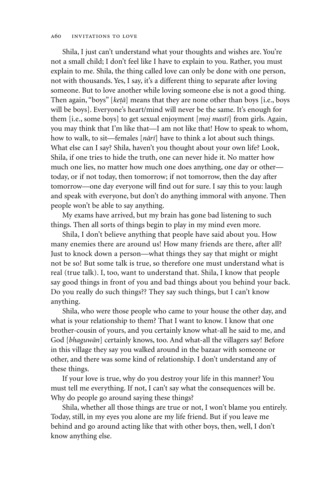Shila, I just can't understand what your thoughts and wishes are. You're not a small child; I don't feel like I have to explain to you. Rather, you must explain to me. Shila, the thing called love can only be done with one person, not with thousands. Yes, I say, it's a different thing to separate after loving someone. But to love another while loving someone else is not a good thing. Then again, "boys" *[ketā]* means that they are none other than boys *[i.e., boys* will be boys]. Everyone's heart/mind will never be the same. It's enough for them [i.e., some boys] to get sexual enjoyment [*moj mastī*] from girls. Again, you may think that I'm like that—I am not like that! How to speak to whom, how to walk, to sit—females [*nārī*] have to think a lot about such things. What else can I say? Shila, haven't you thought about your own life? Look, Shila, if one tries to hide the truth, one can never hide it. No matter how much one lies, no matter how much one does anything, one day or other today, or if not today, then tomorrow; if not tomorrow, then the day after tomorrow—one day everyone will find out for sure. I say this to you: laugh and speak with everyone, but don't do anything immoral with anyone. Then people won't be able to say anything.

My exams have arrived, but my brain has gone bad listening to such things. Then all sorts of things begin to play in my mind even more.

Shila, I don't believe anything that people have said about you. How many enemies there are around us! How many friends are there, after all? Just to knock down a person—what things they say that might or might not be so! But some talk is true, so therefore one must understand what is real (true talk). I, too, want to understand that. Shila, I know that people say good things in front of you and bad things about you behind your back. Do you really do such things?? They say such things, but I can't know anything.

Shila, who were those people who came to your house the other day, and what is your relationship to them? That I want to know. I know that one brother-cousin of yours, and you certainly know what-all he said to me, and God [bhaguwān] certainly knows, too. And what-all the villagers say! Before in this village they say you walked around in the bazaar with someone or other, and there was some kind of relationship. I don't understand any of these things.

If your love is true, why do you destroy your life in this manner? You must tell me everything. If not, I can't say what the consequences will be. Why do people go around saying these things?

Shila, whether all those things are true or not, I won't blame you entirely. Today, still, in my eyes you alone are my life friend. But if you leave me behind and go around acting like that with other boys, then, well, I don't know anything else.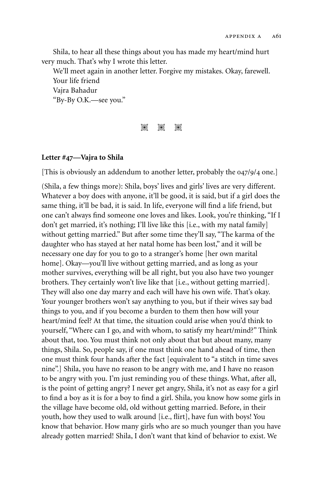Shila, to hear all these things about you has made my heart/mind hurt very much. That's why I wrote this letter.

We'll meet again in another letter. Forgive my mistakes. Okay, farewell. Your life friend Vajra Bahadur

"By-By O.K.—see you."

 $\mathscr{H}$   $\mathscr{H}$   $\mathscr{H}$ 

### **Letter #47—Vajra to Shila**

[This is obviously an addendum to another letter, probably the 047/9/4 one.]

(Shila, a few things more): Shila, boys' lives and girls' lives are very different. Whatever a boy does with anyone, it'll be good, it is said, but if a girl does the same thing, it'll be bad, it is said. In life, everyone will find a life friend, but one can't always find someone one loves and likes. Look, you're thinking, "If I don't get married, it's nothing; I'll live like this [i.e., with my natal family] without getting married." But after some time they'll say, "The karma of the daughter who has stayed at her natal home has been lost," and it will be necessary one day for you to go to a stranger's home [her own marital home]. Okay—you'll live without getting married, and as long as your mother survives, everything will be all right, but you also have two younger brothers. They certainly won't live like that [i.e., without getting married]. They will also one day marry and each will have his own wife. That's okay. Your younger brothers won't say anything to you, but if their wives say bad things to you, and if you become a burden to them then how will your heart/mind feel? At that time, the situation could arise when you'd think to yourself, "Where can I go, and with whom, to satisfy my heart/mind?" Think about that, too. You must think not only about that but about many, many things, Shila. So, people say, if one must think one hand ahead of time, then one must think four hands after the fact [equivalent to "a stitch in time saves nine".] Shila, you have no reason to be angry with me, and I have no reason to be angry with you. I'm just reminding you of these things. What, after all, is the point of getting angry? I never get angry, Shila, it's not as easy for a girl to find a boy as it is for a boy to find a girl. Shila, you know how some girls in the village have become old, old without getting married. Before, in their youth, how they used to walk around [i.e., flirt], have fun with boys! You know that behavior. How many girls who are so much younger than you have already gotten married! Shila, I don't want that kind of behavior to exist. We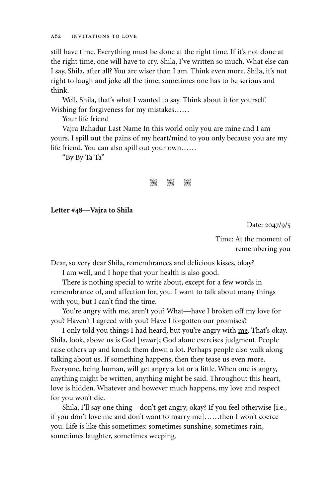still have time. Everything must be done at the right time. If it's not done at the right time, one will have to cry. Shila, I've written so much. What else can I say, Shila, after all? You are wiser than I am. Think even more. Shila, it's not right to laugh and joke all the time; sometimes one has to be serious and think.

Well, Shila, that's what I wanted to say. Think about it for yourself. Wishing for forgiveness for my mistakes……

Your life friend

Vajra Bahadur Last Name In this world only you are mine and I am yours. I spill out the pains of my heart/mind to you only because you are my life friend. You can also spill out your own……

"By By Ta Ta"

VVI VIII VIII

#### **Letter #48—Vajra to Shila**

Date: 2047/9/5

Time: At the moment of remembering you

Dear, so very dear Shila, remembrances and delicious kisses, okay? I am well, and I hope that your health is also good.

There is nothing special to write about, except for a few words in remembrance of, and affection for, you. I want to talk about many things with you, but I can't find the time.

You're angry with me, aren't you? What—have I broken off my love for you? Haven't I agreed with you? Have I forgotten our promises?

I only told you things I had heard, but you're angry with me. That's okay. Shila, look, above us is God [*¯ıswar*]; God alone exercises judgment. People raise others up and knock them down a lot. Perhaps people also walk along talking about us. If something happens, then they tease us even more. Everyone, being human, will get angry a lot or a little. When one is angry, anything might be written, anything might be said. Throughout this heart, love is hidden. Whatever and however much happens, my love and respect for you won't die.

Shila, I'll say one thing—don't get angry, okay? If you feel otherwise [i.e., if you don't love me and don't want to marry me]……then I won't coerce you. Life is like this sometimes: sometimes sunshine, sometimes rain, sometimes laughter, sometimes weeping.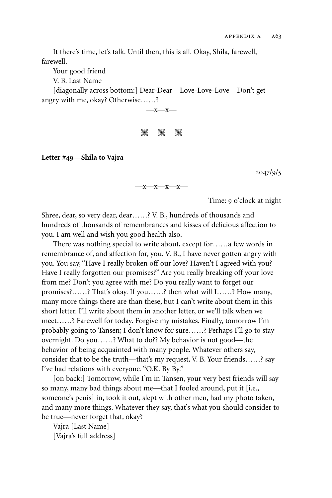It there's time, let's talk. Until then, this is all. Okay, Shila, farewell, farewell.

Your good friend

V. B. Last Name

[diagonally across bottom:] Dear-Dear Love-Love-Love Don't get angry with me, okay? Otherwise……?

 $\mathscr{H}$   $\mathscr{H}$   $\mathscr{H}$ 

 $-x-x-$ 

**Letter #49—Shila to Vajra**

2047/9/5

 $-x-x-x-x-$ 

Time: 9 o'clock at night

Shree, dear, so very dear, dear……? V. B., hundreds of thousands and hundreds of thousands of remembrances and kisses of delicious affection to you. I am well and wish you good health also.

There was nothing special to write about, except for……a few words in remembrance of, and affection for, you. V. B., I have never gotten angry with you. You say, "Have I really broken off our love? Haven't I agreed with you? Have I really forgotten our promises?" Are you really breaking off your love from me? Don't you agree with me? Do you really want to forget our promises?……? That's okay. If you……? then what will I……? How many, many more things there are than these, but I can't write about them in this short letter. I'll write about them in another letter, or we'll talk when we meet……? Farewell for today. Forgive my mistakes. Finally, tomorrow I'm probably going to Tansen; I don't know for sure……? Perhaps I'll go to stay overnight. Do you……? What to do?? My behavior is not good—the behavior of being acquainted with many people. Whatever others say, consider that to be the truth—that's my request, V. B. Your friends……? say I've had relations with everyone. "O.K. By By."

[on back:] Tomorrow, while I'm in Tansen, your very best friends will say so many, many bad things about me—that I fooled around, put it [i.e., someone's penis] in, took it out, slept with other men, had my photo taken, and many more things. Whatever they say, that's what you should consider to be true—never forget that, okay?

Vajra [Last Name] [Vajra's full address]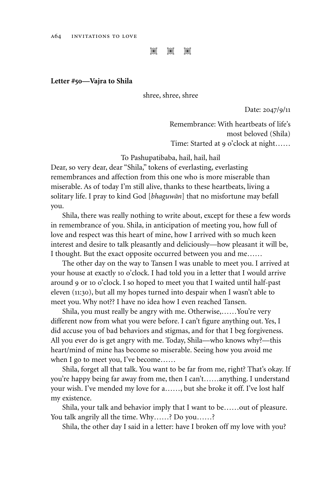## $\mathscr{H}$   $\mathscr{H}$   $\mathscr{H}$

#### **Letter #50—Vajra to Shila**

shree, shree, shree

Date: 2047/9/11

Remembrance: With heartbeats of life's most beloved (Shila) Time: Started at 9 o'clock at night……

To Pashupatibaba, hail, hail, hail

Dear, so very dear, dear "Shila," tokens of everlasting, everlasting remembrances and affection from this one who is more miserable than miserable. As of today I'm still alive, thanks to these heartbeats, living a solitary life. I pray to kind God [*bhaguwān*] that no misfortune may befall you.

Shila, there was really nothing to write about, except for these a few words in remembrance of you. Shila, in anticipation of meeting you, how full of love and respect was this heart of mine, how I arrived with so much keen interest and desire to talk pleasantly and deliciously—how pleasant it will be, I thought. But the exact opposite occurred between you and me……

The other day on the way to Tansen I was unable to meet you. I arrived at your house at exactly 10 o'clock. I had told you in a letter that I would arrive around 9 or 10 o'clock. I so hoped to meet you that I waited until half-past eleven (11:30), but all my hopes turned into despair when I wasn't able to meet you. Why not?? I have no idea how I even reached Tansen.

Shila, you must really be angry with me. Otherwise,……You're very different now from what you were before. I can't figure anything out. Yes, I did accuse you of bad behaviors and stigmas, and for that I beg forgiveness. All you ever do is get angry with me. Today, Shila—who knows why?—this heart/mind of mine has become so miserable. Seeing how you avoid me when I go to meet you, I've become……

Shila, forget all that talk. You want to be far from me, right? That's okay. If you're happy being far away from me, then I can't……anything. I understand your wish. I've mended my love for a……, but she broke it off. I've lost half my existence.

Shila, your talk and behavior imply that I want to be……out of pleasure. You talk angrily all the time. Why……? Do you……?

Shila, the other day I said in a letter: have I broken off my love with you?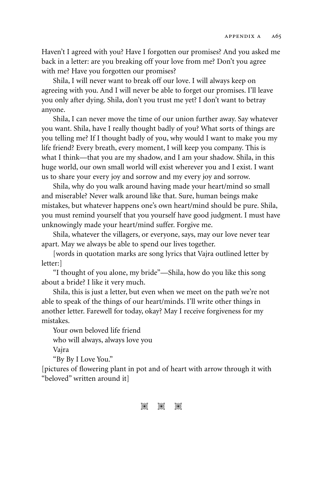Haven't I agreed with you? Have I forgotten our promises? And you asked me back in a letter: are you breaking off your love from me? Don't you agree with me? Have you forgotten our promises?

Shila, I will never want to break off our love. I will always keep on agreeing with you. And I will never be able to forget our promises. I'll leave you only after dying. Shila, don't you trust me yet? I don't want to betray anyone.

Shila, I can never move the time of our union further away. Say whatever you want. Shila, have I really thought badly of you? What sorts of things are you telling me? If I thought badly of you, why would I want to make you my life friend? Every breath, every moment, I will keep you company. This is what I think—that you are my shadow, and I am your shadow. Shila, in this huge world, our own small world will exist wherever you and I exist. I want us to share your every joy and sorrow and my every joy and sorrow.

Shila, why do you walk around having made your heart/mind so small and miserable? Never walk around like that. Sure, human beings make mistakes, but whatever happens one's own heart/mind should be pure. Shila, you must remind yourself that you yourself have good judgment. I must have unknowingly made your heart/mind suffer. Forgive me.

Shila, whatever the villagers, or everyone, says, may our love never tear apart. May we always be able to spend our lives together.

[words in quotation marks are song lyrics that Vajra outlined letter by letter:]

"I thought of you alone, my bride"—Shila, how do you like this song about a bride? I like it very much.

Shila, this is just a letter, but even when we meet on the path we're not able to speak of the things of our heart/minds. I'll write other things in another letter. Farewell for today, okay? May I receive forgiveness for my mistakes.

Your own beloved life friend

who will always, always love you

Vajra

"By By I Love You."

[pictures of flowering plant in pot and of heart with arrow through it with "beloved" written around it]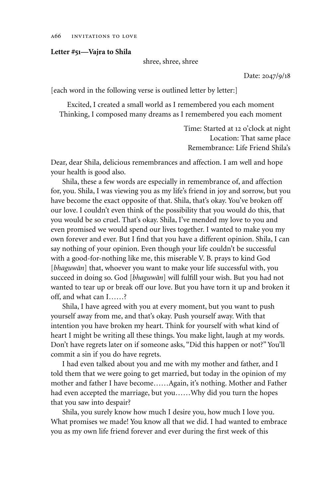## **Letter #51—Vajra to Shila**

shree, shree, shree

Date: 2047/9/18

[each word in the following verse is outlined letter by letter:]

Excited, I created a small world as I remembered you each moment Thinking, I composed many dreams as I remembered you each moment

> Time: Started at 12 o'clock at night Location: That same place Remembrance: Life Friend Shila's

Dear, dear Shila, delicious remembrances and affection. I am well and hope your health is good also.

Shila, these a few words are especially in remembrance of, and affection for, you. Shila, I was viewing you as my life's friend in joy and sorrow, but you have become the exact opposite of that. Shila, that's okay. You've broken off our love. I couldn't even think of the possibility that you would do this, that you would be so cruel. That's okay. Shila, I've mended my love to you and even promised we would spend our lives together. I wanted to make you my own forever and ever. But I find that you have a different opinion. Shila, I can say nothing of your opinion. Even though your life couldn't be successful with a good-for-nothing like me, this miserable V. B. prays to kind God [*bhaguwān*] that, whoever you want to make your life successful with, you succeed in doing so. God [bhaguwān] will fulfill your wish. But you had not wanted to tear up or break off our love. But you have torn it up and broken it off, and what can I……?

Shila, I have agreed with you at every moment, but you want to push yourself away from me, and that's okay. Push yourself away. With that intention you have broken my heart. Think for yourself with what kind of heart I might be writing all these things. You make light, laugh at my words. Don't have regrets later on if someone asks, "Did this happen or not?" You'll commit a sin if you do have regrets.

I had even talked about you and me with my mother and father, and I told them that we were going to get married, but today in the opinion of my mother and father I have become……Again, it's nothing. Mother and Father had even accepted the marriage, but you……Why did you turn the hopes that you saw into despair?

Shila, you surely know how much I desire you, how much I love you. What promises we made! You know all that we did. I had wanted to embrace you as my own life friend forever and ever during the first week of this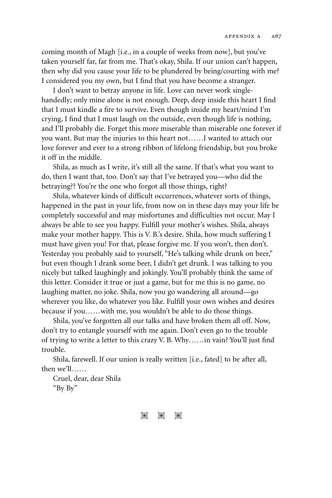coming month of Magh [i.e., in a couple of weeks from now], but you've taken yourself far, far from me. That's okay, Shila. If our union can't happen, then why did you cause your life to be plundered by being/courting with me? I considered you my own, but I find that you have become a stranger.

I don't want to betray anyone in life. Love can never work singlehandedly; only mine alone is not enough. Deep, deep inside this heart I find that I must kindle a fire to survive. Even though inside my heart/mind I'm crying, I find that I must laugh on the outside, even though life is nothing, and I'll probably die. Forget this more miserable than miserable one forever if you want. But may the injuries to this heart not……I wanted to attach our love forever and ever to a strong ribbon of lifelong friendship, but you broke it off in the middle.

Shila, as much as I write, it's still all the same. If that's what you want to do, then I want that, too. Don't say that I've betrayed you—who did the betraying?? You're the one who forgot all those things, right?

Shila, whatever kinds of difficult occurrences, whatever sorts of things, happened in the past in your life, from now on in these days may your life be completely successful and may misfortunes and difficulties not occur. May I always be able to see you happy. Fulfill your mother's wishes. Shila, always make your mother happy. This is V. B.'s desire. Shila, how much suffering I must have given you! For that, please forgive me. If you won't, then don't. Yesterday you probably said to yourself, "He's talking while drunk on beer," but even though I drank some beer, I didn't get drunk. I was talking to you nicely but talked laughingly and jokingly. You'll probably think the same of this letter. Consider it true or just a game, but for me this is no game, no laughing matter, no joke. Shila, now you go wandering all around—go wherever you like, do whatever you like. Fulfill your own wishes and desires because if you……with me, you wouldn't be able to do those things.

Shila, you've forgotten all our talks and have broken them all off. Now, don't try to entangle yourself with me again. Don't even go to the trouble of trying to write a letter to this crazy V. B. Why……in vain? You'll just find trouble.

Shila, farewell. If our union is really written [i.e., fated] to be after all, then we'll……

Cruel, dear, dear Shila "By By"

VVI VIII VIII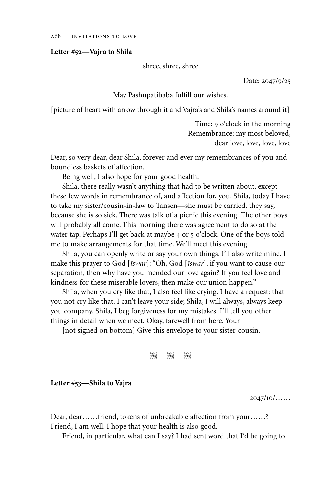## **Letter #52—Vajra to Shila**

shree, shree, shree

Date: 2047/9/25

May Pashupatibaba fulfill our wishes.

[picture of heart with arrow through it and Vajra's and Shila's names around it]

Time: 9 o'clock in the morning Remembrance: my most beloved, dear love, love, love, love

Dear, so very dear, dear Shila, forever and ever my remembrances of you and boundless baskets of affection.

Being well, I also hope for your good health.

Shila, there really wasn't anything that had to be written about, except these few words in remembrance of, and affection for, you. Shila, today I have to take my sister/cousin-in-law to Tansen—she must be carried, they say, because she is so sick. There was talk of a picnic this evening. The other boys will probably all come. This morning there was agreement to do so at the water tap. Perhaps I'll get back at maybe 4 or 5 o'clock. One of the boys told me to make arrangements for that time. We'll meet this evening.

Shila, you can openly write or say your own things. I'll also write mine. I make this prayer to God [*¯ıswar*]: "Oh, God [*¯ıswar*], if you want to cause our separation, then why have you mended our love again? If you feel love and kindness for these miserable lovers, then make our union happen."

Shila, when you cry like that, I also feel like crying. I have a request: that you not cry like that. I can't leave your side; Shila, I will always, always keep you company. Shila, I beg forgiveness for my mistakes. I'll tell you other things in detail when we meet. Okay, farewell from here. Your

[not signed on bottom] Give this envelope to your sister-cousin.



**Letter #53—Shila to Vajra**

 $2047/10/$ ……

Dear, dear……friend, tokens of unbreakable affection from your……? Friend, I am well. I hope that your health is also good.

Friend, in particular, what can I say? I had sent word that I'd be going to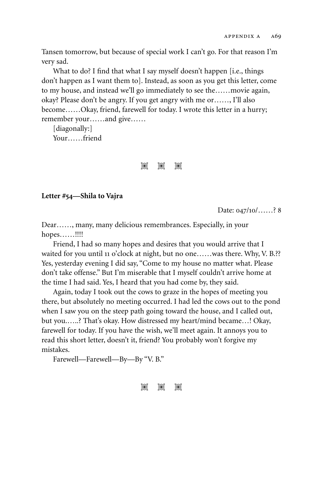Tansen tomorrow, but because of special work I can't go. For that reason I'm very sad.

What to do? I find that what I say myself doesn't happen [i.e., things don't happen as I want them to]. Instead, as soon as you get this letter, come to my house, and instead we'll go immediately to see the……movie again, okay? Please don't be angry. If you get angry with me or……, I'll also become……Okay, friend, farewell for today. I wrote this letter in a hurry; remember your……and give……

[diagonally:] Your……friend

 $\mathscr{H}$   $\mathscr{H}$   $\mathscr{H}$ 

### **Letter #54—Shila to Vajra**

Date: 047/10/……? 8

Dear……, many, many delicious remembrances. Especially, in your hopes……!!!!

Friend, I had so many hopes and desires that you would arrive that I waited for you until 11 o'clock at night, but no one......was there. Why, V. B.?? Yes, yesterday evening I did say, "Come to my house no matter what. Please don't take offense." But I'm miserable that I myself couldn't arrive home at the time I had said. Yes, I heard that you had come by, they said.

Again, today I took out the cows to graze in the hopes of meeting you there, but absolutely no meeting occurred. I had led the cows out to the pond when I saw you on the steep path going toward the house, and I called out, but you.…..? That's okay. How distressed my heart/mind became…! Okay, farewell for today. If you have the wish, we'll meet again. It annoys you to read this short letter, doesn't it, friend? You probably won't forgive my mistakes.

Farewell—Farewell—By—By "V. B."

VVI VIII VIII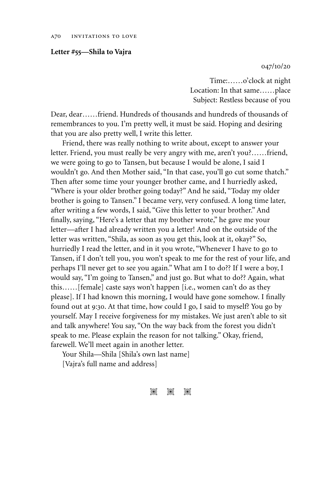## **Letter #55—Shila to Vajra**

047/10/20

Time:……o'clock at night Location: In that same……place Subject: Restless because of you

Dear, dear……friend. Hundreds of thousands and hundreds of thousands of remembrances to you. I'm pretty well, it must be said. Hoping and desiring that you are also pretty well, I write this letter.

Friend, there was really nothing to write about, except to answer your letter. Friend, you must really be very angry with me, aren't you?……friend, we were going to go to Tansen, but because I would be alone, I said I wouldn't go. And then Mother said, "In that case, you'll go cut some thatch." Then after some time your younger brother came, and I hurriedly asked, "Where is your older brother going today?" And he said, "Today my older brother is going to Tansen." I became very, very confused. A long time later, after writing a few words, I said, "Give this letter to your brother." And finally, saying, "Here's a letter that my brother wrote," he gave me your letter—after I had already written you a letter! And on the outside of the letter was written, "Shila, as soon as you get this, look at it, okay?" So, hurriedly I read the letter, and in it you wrote, "Whenever I have to go to Tansen, if I don't tell you, you won't speak to me for the rest of your life, and perhaps I'll never get to see you again." What am I to do?? If I were a boy, I would say, "I'm going to Tansen," and just go. But what to do?? Again, what this……[female] caste says won't happen [i.e., women can't do as they please]. If I had known this morning, I would have gone somehow. I finally found out at 9:30. At that time, how could I go, I said to myself? You go by yourself. May I receive forgiveness for my mistakes. We just aren't able to sit and talk anywhere! You say, "On the way back from the forest you didn't speak to me. Please explain the reason for not talking." Okay, friend, farewell. We'll meet again in another letter.

Your Shila—Shila [Shila's own last name] [Vajra's full name and address]

 $\mathscr{H}$   $\mathscr{H}$   $\mathscr{H}$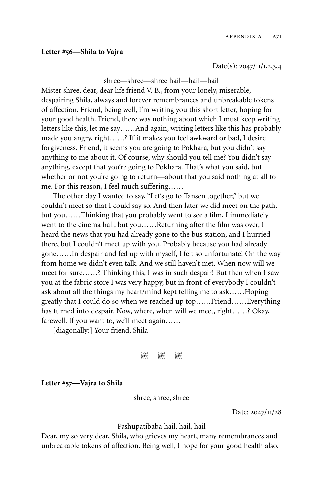### **Letter #56—Shila to Vajra**

Date(s):  $2047/11/1,2,3,4$ 

shree—shree—shree hail—hail—hail

Mister shree, dear, dear life friend V. B., from your lonely, miserable, despairing Shila, always and forever remembrances and unbreakable tokens of affection. Friend, being well, I'm writing you this short letter, hoping for your good health. Friend, there was nothing about which I must keep writing letters like this, let me say……And again, writing letters like this has probably made you angry, right……? If it makes you feel awkward or bad, I desire forgiveness. Friend, it seems you are going to Pokhara, but you didn't say anything to me about it. Of course, why should you tell me? You didn't say anything, except that you're going to Pokhara. That's what you said, but whether or not you're going to return—about that you said nothing at all to me. For this reason, I feel much suffering……

The other day I wanted to say, "Let's go to Tansen together," but we couldn't meet so that I could say so. And then later we did meet on the path, but you……Thinking that you probably went to see a film, I immediately went to the cinema hall, but you……Returning after the film was over, I heard the news that you had already gone to the bus station, and I hurried there, but I couldn't meet up with you. Probably because you had already gone……In despair and fed up with myself, I felt so unfortunate! On the way from home we didn't even talk. And we still haven't met. When now will we meet for sure……? Thinking this, I was in such despair! But then when I saw you at the fabric store I was very happy, but in front of everybody I couldn't ask about all the things my heart/mind kept telling me to ask……Hoping greatly that I could do so when we reached up top……Friend……Everything has turned into despair. Now, where, when will we meet, right……? Okay, farewell. If you want to, we'll meet again……

[diagonally:] Your friend, Shila



**Letter #57—Vajra to Shila**

shree, shree, shree

Date: 2047/11/28

Pashupatibaba hail, hail, hail

Dear, my so very dear, Shila, who grieves my heart, many remembrances and unbreakable tokens of affection. Being well, I hope for your good health also.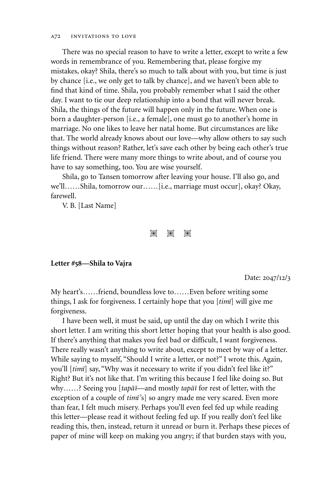a72 invitations to love

There was no special reason to have to write a letter, except to write a few words in remembrance of you. Remembering that, please forgive my mistakes, okay? Shila, there's so much to talk about with you, but time is just by chance [i.e., we only get to talk by chance], and we haven't been able to find that kind of time. Shila, you probably remember what I said the other day. I want to tie our deep relationship into a bond that will never break. Shila, the things of the future will happen only in the future. When one is born a daughter-person [i.e., a female], one must go to another's home in marriage. No one likes to leave her natal home. But circumstances are like that. The world already knows about our love—why allow others to say such things without reason? Rather, let's save each other by being each other's true life friend. There were many more things to write about, and of course you have to say something, too. You are wise yourself.

Shila, go to Tansen tomorrow after leaving your house. I'll also go, and we'll……Shila, tomorrow our……[i.e., marriage must occur], okay? Okay, farewell.

V. B. [Last Name]

 $\mathscr{H}$   $\mathscr{H}$   $\mathscr{H}$ 

#### **Letter #58—Shila to Vajra**

Date: 2047/12/3

My heart's……friend, boundless love to……Even before writing some things, I ask for forgiveness. I certainly hope that you [*tim¯ı*] will give me forgiveness.

I have been well, it must be said, up until the day on which I write this short letter. I am writing this short letter hoping that your health is also good. If there's anything that makes you feel bad or difficult, I want forgiveness. There really wasn't anything to write about, except to meet by way of a letter. While saying to myself, "Should I write a letter, or not?" I wrote this. Again, you'll [*timī*] say, "Why was it necessary to write if you didn't feel like it?" Right? But it's not like that. I'm writing this because I feel like doing so. But why……? Seeing you [*tapāī*—and mostly *tapāī* for rest of letter, with the exception of a couple of *timi*'s] so angry made me very scared. Even more than fear, I felt much misery. Perhaps you'll even feel fed up while reading this letter—please read it without feeling fed up. If you really don't feel like reading this, then, instead, return it unread or burn it. Perhaps these pieces of paper of mine will keep on making you angry; if that burden stays with you,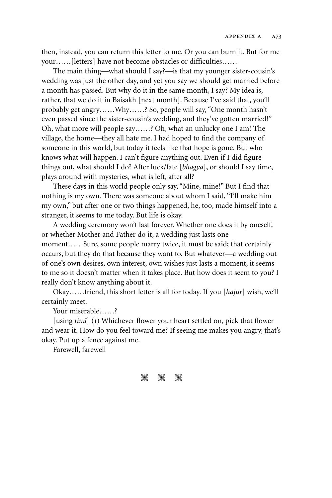then, instead, you can return this letter to me. Or you can burn it. But for me your……[letters] have not become obstacles or difficulties……

The main thing—what should I say?—is that my younger sister-cousin's wedding was just the other day, and yet you say we should get married before a month has passed. But why do it in the same month, I say? My idea is, rather, that we do it in Baisakh [next month]. Because I've said that, you'll probably get angry……Why……? So, people will say, "One month hasn't even passed since the sister-cousin's wedding, and they've gotten married!" Oh, what more will people say……? Oh, what an unlucky one I am! The village, the home—they all hate me. I had hoped to find the company of someone in this world, but today it feels like that hope is gone. But who knows what will happen. I can't figure anything out. Even if I did figure things out, what should I do? After luck/fate [*bhāgya*], or should I say time, plays around with mysteries, what is left, after all?

These days in this world people only say, "Mine, mine!" But I find that nothing is my own. There was someone about whom I said, "I'll make him my own," but after one or two things happened, he, too, made himself into a stranger, it seems to me today. But life is okay.

A wedding ceremony won't last forever. Whether one does it by oneself, or whether Mother and Father do it, a wedding just lasts one moment……Sure, some people marry twice, it must be said; that certainly occurs, but they do that because they want to. But whatever—a wedding out of one's own desires, own interest, own wishes just lasts a moment, it seems to me so it doesn't matter when it takes place. But how does it seem to you? I really don't know anything about it.

Okay……friend, this short letter is all for today. If you [*hajur*] wish, we'll certainly meet.

Your miserable……?

[using *timī*] (1) Whichever flower your heart settled on, pick that flower and wear it. How do you feel toward me? If seeing me makes you angry, that's okay. Put up a fence against me.

Farewell, farewell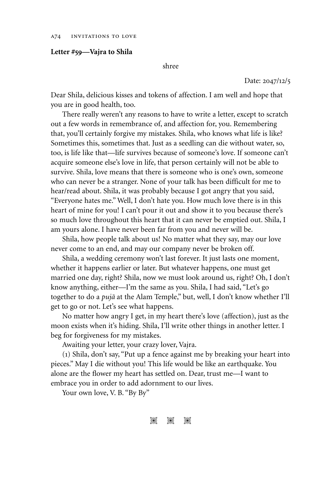## **Letter #59—Vajra to Shila**

shree

Date: 2047/12/5

Dear Shila, delicious kisses and tokens of affection. I am well and hope that you are in good health, too.

There really weren't any reasons to have to write a letter, except to scratch out a few words in remembrance of, and affection for, you. Remembering that, you'll certainly forgive my mistakes. Shila, who knows what life is like? Sometimes this, sometimes that. Just as a seedling can die without water, so, too, is life like that—life survives because of someone's love. If someone can't acquire someone else's love in life, that person certainly will not be able to survive. Shila, love means that there is someone who is one's own, someone who can never be a stranger. None of your talk has been difficult for me to hear/read about. Shila, it was probably because I got angry that you said, "Everyone hates me." Well, I don't hate you. How much love there is in this heart of mine for you! I can't pour it out and show it to you because there's so much love throughout this heart that it can never be emptied out. Shila, I am yours alone. I have never been far from you and never will be.

Shila, how people talk about us! No matter what they say, may our love never come to an end, and may our company never be broken off.

Shila, a wedding ceremony won't last forever. It just lasts one moment, whether it happens earlier or later. But whatever happens, one must get married one day, right? Shila, now we must look around us, right? Oh, I don't know anything, either—I'm the same as you. Shila, I had said, "Let's go together to do a *pujā* at the Alam Temple," but, well, I don't know whether I'll get to go or not. Let's see what happens.

No matter how angry I get, in my heart there's love (affection), just as the moon exists when it's hiding. Shila, I'll write other things in another letter. I beg for forgiveness for my mistakes.

Awaiting your letter, your crazy lover, Vajra.

(1) Shila, don't say, "Put up a fence against me by breaking your heart into pieces." May I die without you! This life would be like an earthquake. You alone are the flower my heart has settled on. Dear, trust me—I want to embrace you in order to add adornment to our lives.

Your own love, V. B. "By By"

 $\mathscr{H}$   $\mathscr{H}$   $\mathscr{H}$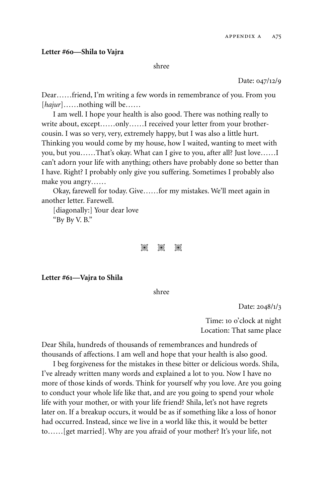# **Letter #60—Shila to Vajra**

#### shree

Date: 047/12/9

Dear……friend, I'm writing a few words in remembrance of you. From you [*hajur*]……nothing will be……

I am well. I hope your health is also good. There was nothing really to write about, except……only……I received your letter from your brothercousin. I was so very, very, extremely happy, but I was also a little hurt. Thinking you would come by my house, how I waited, wanting to meet with you, but you……That's okay. What can I give to you, after all? Just love……I can't adorn your life with anything; others have probably done so better than I have. Right? I probably only give you suffering. Sometimes I probably also make you angry……

Okay, farewell for today. Give……for my mistakes. We'll meet again in another letter. Farewell.

[diagonally:] Your dear love "By By V. B."

 $\mathscr{H}$   $\mathscr{H}$   $\mathscr{H}$ 

**Letter #61—Vajra to Shila**

shree

Date: 2048/1/3

Time: 10 o'clock at night Location: That same place

Dear Shila, hundreds of thousands of remembrances and hundreds of thousands of affections. I am well and hope that your health is also good.

I beg forgiveness for the mistakes in these bitter or delicious words. Shila, I've already written many words and explained a lot to you. Now I have no more of those kinds of words. Think for yourself why you love. Are you going to conduct your whole life like that, and are you going to spend your whole life with your mother, or with your life friend? Shila, let's not have regrets later on. If a breakup occurs, it would be as if something like a loss of honor had occurred. Instead, since we live in a world like this, it would be better to……[get married]. Why are you afraid of your mother? It's your life, not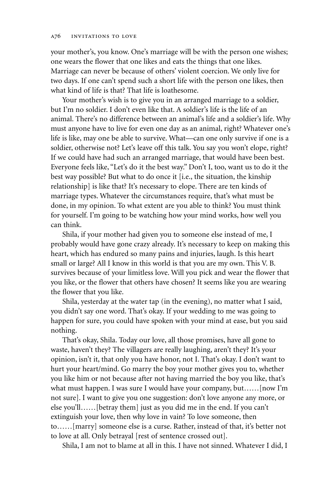your mother's, you know. One's marriage will be with the person one wishes; one wears the flower that one likes and eats the things that one likes. Marriage can never be because of others' violent coercion. We only live for two days. If one can't spend such a short life with the person one likes, then what kind of life is that? That life is loathesome.

Your mother's wish is to give you in an arranged marriage to a soldier, but I'm no soldier. I don't even like that. A soldier's life is the life of an animal. There's no difference between an animal's life and a soldier's life. Why must anyone have to live for even one day as an animal, right? Whatever one's life is like, may one be able to survive. What—can one only survive if one is a soldier, otherwise not? Let's leave off this talk. You say you won't elope, right? If we could have had such an arranged marriage, that would have been best. Everyone feels like, "Let's do it the best way." Don't I, too, want us to do it the best way possible? But what to do once it [i.e., the situation, the kinship relationship] is like that? It's necessary to elope. There are ten kinds of marriage types. Whatever the circumstances require, that's what must be done, in my opinion. To what extent are you able to think? You must think for yourself. I'm going to be watching how your mind works, how well you can think.

Shila, if your mother had given you to someone else instead of me, I probably would have gone crazy already. It's necessary to keep on making this heart, which has endured so many pains and injuries, laugh. Is this heart small or large? All I know in this world is that you are my own. This V. B. survives because of your limitless love. Will you pick and wear the flower that you like, or the flower that others have chosen? It seems like you are wearing the flower that you like.

Shila, yesterday at the water tap (in the evening), no matter what I said, you didn't say one word. That's okay. If your wedding to me was going to happen for sure, you could have spoken with your mind at ease, but you said nothing.

That's okay, Shila. Today our love, all those promises, have all gone to waste, haven't they? The villagers are really laughing, aren't they? It's your opinion, isn't it, that only you have honor, not I. That's okay. I don't want to hurt your heart/mind. Go marry the boy your mother gives you to, whether you like him or not because after not having married the boy you like, that's what must happen. I was sure I would have your company, but……[now I'm not sure]. I want to give you one suggestion: don't love anyone any more, or else you'll……[betray them] just as you did me in the end. If you can't extinguish your love, then why love in vain? To love someone, then to……[marry] someone else is a curse. Rather, instead of that, it's better not to love at all. Only betrayal [rest of sentence crossed out].

Shila, I am not to blame at all in this. I have not sinned. Whatever I did, I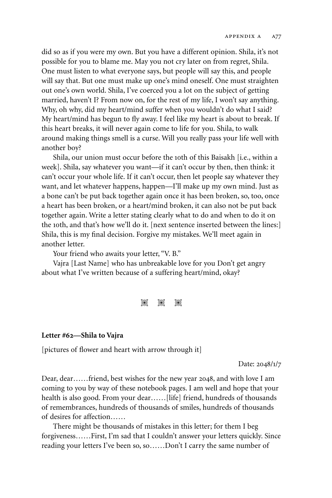did so as if you were my own. But you have a different opinion. Shila, it's not possible for you to blame me. May you not cry later on from regret, Shila. One must listen to what everyone says, but people will say this, and people will say that. But one must make up one's mind oneself. One must straighten out one's own world. Shila, I've coerced you a lot on the subject of getting married, haven't I? From now on, for the rest of my life, I won't say anything. Why, oh why, did my heart/mind suffer when you wouldn't do what I said? My heart/mind has begun to fly away. I feel like my heart is about to break. If this heart breaks, it will never again come to life for you. Shila, to walk around making things smell is a curse. Will you really pass your life well with another boy?

Shila, our union must occur before the 10th of this Baisakh [i.e., within a week]. Shila, say whatever you want—if it can't occur by then, then think: it can't occur your whole life. If it can't occur, then let people say whatever they want, and let whatever happens, happen—I'll make up my own mind. Just as a bone can't be put back together again once it has been broken, so, too, once a heart has been broken, or a heart/mind broken, it can also not be put back together again. Write a letter stating clearly what to do and when to do it on the 10th, and that's how we'll do it. [next sentence inserted between the lines:] Shila, this is my final decision. Forgive my mistakes. We'll meet again in another letter.

Your friend who awaits your letter, "V. B."

Vajra [Last Name] who has unbreakable love for you Don't get angry about what I've written because of a suffering heart/mind, okay?

 $\mathcal{H} \quad \mathcal{H} \quad \mathcal{H}$ 

### **Letter #62—Shila to Vajra**

[pictures of flower and heart with arrow through it]

Date: 2048/1/7

Dear, dear……friend, best wishes for the new year 2048, and with love I am coming to you by way of these notebook pages. I am well and hope that your health is also good. From your dear……[life] friend, hundreds of thousands of remembrances, hundreds of thousands of smiles, hundreds of thousands of desires for affection……

There might be thousands of mistakes in this letter; for them I beg forgiveness……First, I'm sad that I couldn't answer your letters quickly. Since reading your letters I've been so, so……Don't I carry the same number of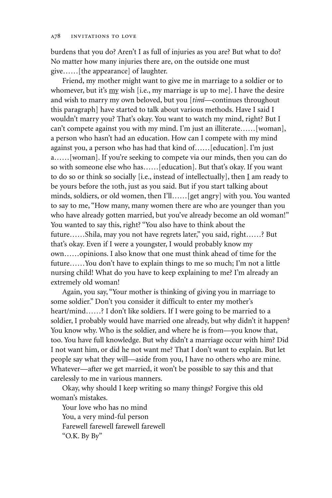burdens that you do? Aren't I as full of injuries as you are? But what to do? No matter how many injuries there are, on the outside one must give……[the appearance] of laughter.

Friend, my mother might want to give me in marriage to a soldier or to whomever, but it's my wish [i.e., my marriage is up to me]. I have the desire and wish to marry my own beloved, but you [tim*ī*—continues throughout this paragraph] have started to talk about various methods. Have I said I wouldn't marry you? That's okay. You want to watch my mind, right? But I can't compete against you with my mind. I'm just an illiterate……[woman], a person who hasn't had an education. How can I compete with my mind against you, a person who has had that kind of……[education]. I'm just a……[woman]. If you're seeking to compete via our minds, then you can do so with someone else who has……[education]. But that's okay. If you want to do so or think so socially [i.e., instead of intellectually], then I am ready to be yours before the 10th, just as you said. But if you start talking about minds, soldiers, or old women, then I'll……[get angry] with you. You wanted to say to me, "How many, many women there are who are younger than you who have already gotten married, but you've already become an old woman!" You wanted to say this, right? "You also have to think about the future……Shila, may you not have regrets later," you said, right……? But that's okay. Even if I were a youngster, I would probably know my own……opinions. I also know that one must think ahead of time for the future……You don't have to explain things to me so much; I'm not a little nursing child! What do you have to keep explaining to me? I'm already an extremely old woman!

Again, you say, "Your mother is thinking of giving you in marriage to some soldier." Don't you consider it difficult to enter my mother's heart/mind……? I don't like soldiers. If I were going to be married to a soldier, I probably would have married one already, but why didn't it happen? You know why. Who is the soldier, and where he is from—you know that, too. You have full knowledge. But why didn't a marriage occur with him? Did I not want him, or did he not want me? That I don't want to explain. But let people say what they will—aside from you, I have no others who are mine. Whatever—after we get married, it won't be possible to say this and that carelessly to me in various manners.

Okay, why should I keep writing so many things? Forgive this old woman's mistakes.

Your love who has no mind You, a very mind-ful person Farewell farewell farewell farewell "O.K. By By"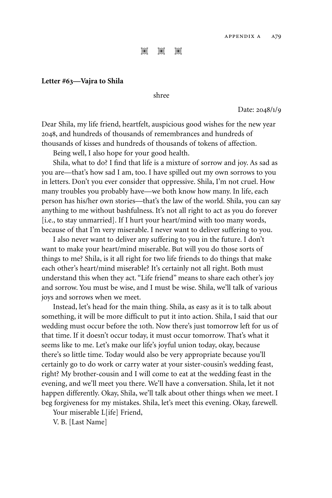### $\mathcal H\quad\mathcal H\quad\mathcal H$

#### **Letter #63—Vajra to Shila**

shree

Date: 2048/1/9

Dear Shila, my life friend, heartfelt, auspicious good wishes for the new year 2048, and hundreds of thousands of remembrances and hundreds of thousands of kisses and hundreds of thousands of tokens of affection.

Being well, I also hope for your good health.

Shila, what to do? I find that life is a mixture of sorrow and joy. As sad as you are—that's how sad I am, too. I have spilled out my own sorrows to you in letters. Don't you ever consider that oppressive. Shila, I'm not cruel. How many troubles you probably have—we both know how many. In life, each person has his/her own stories—that's the law of the world. Shila, you can say anything to me without bashfulness. It's not all right to act as you do forever [i.e., to stay unmarried]. If I hurt your heart/mind with too many words, because of that I'm very miserable. I never want to deliver suffering to you.

I also never want to deliver any suffering to you in the future. I don't want to make your heart/mind miserable. But will you do those sorts of things to me? Shila, is it all right for two life friends to do things that make each other's heart/mind miserable? It's certainly not all right. Both must understand this when they act. "Life friend" means to share each other's joy and sorrow. You must be wise, and I must be wise. Shila, we'll talk of various joys and sorrows when we meet.

Instead, let's head for the main thing. Shila, as easy as it is to talk about something, it will be more difficult to put it into action. Shila, I said that our wedding must occur before the 10th. Now there's just tomorrow left for us of that time. If it doesn't occur today, it must occur tomorrow. That's what it seems like to me. Let's make our life's joyful union today, okay, because there's so little time. Today would also be very appropriate because you'll certainly go to do work or carry water at your sister-cousin's wedding feast, right? My brother-cousin and I will come to eat at the wedding feast in the evening, and we'll meet you there. We'll have a conversation. Shila, let it not happen differently. Okay, Shila, we'll talk about other things when we meet. I beg forgiveness for my mistakes. Shila, let's meet this evening. Okay, farewell.

Your miserable L[ife] Friend,

V. B. [Last Name]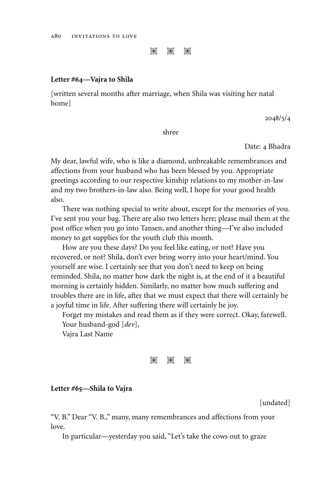# $\mathscr{H}$   $\mathscr{H}$   $\mathscr{H}$

### **Letter #64—Vajra to Shila**

[written several months after marriage, when Shila was visiting her natal home]

2048/5/4

shree

Date: 4 Bhadra

My dear, lawful wife, who is like a diamond, unbreakable remembrances and affections from your husband who has been blessed by you. Appropriate greetings according to our respective kinship relations to my mother-in-law and my two brothers-in-law also. Being well, I hope for your good health also.

There was nothing special to write about, except for the memories of you. I've sent you your bag. There are also two letters here; please mail them at the post office when you go into Tansen, and another thing—I've also included money to get supplies for the youth club this month.

How are you these days? Do you feel like eating, or not? Have you recovered, or not? Shila, don't ever bring worry into your heart/mind. You yourself are wise. I certainly see that you don't need to keep on being reminded. Shila, no matter how dark the night is, at the end of it a beautiful morning is certainly hidden. Similarly, no matter how much suffering and troubles there are in life, after that we must expect that there will certainly be a joyful time in life. After suffering there will certainly be joy.

Forget my mistakes and read them as if they were correct. Okay, farewell. Your husband-god [*dev*],

Vajra Last Name

 $\mathscr{H}$   $\mathscr{H}$   $\mathscr{H}$ 

#### **Letter #65—Shila to Vajra**

[undated]

"V. B." Dear "V. B.," many, many remembrances and affections from your love.

In particular—yesterday you said, "Let's take the cows out to graze